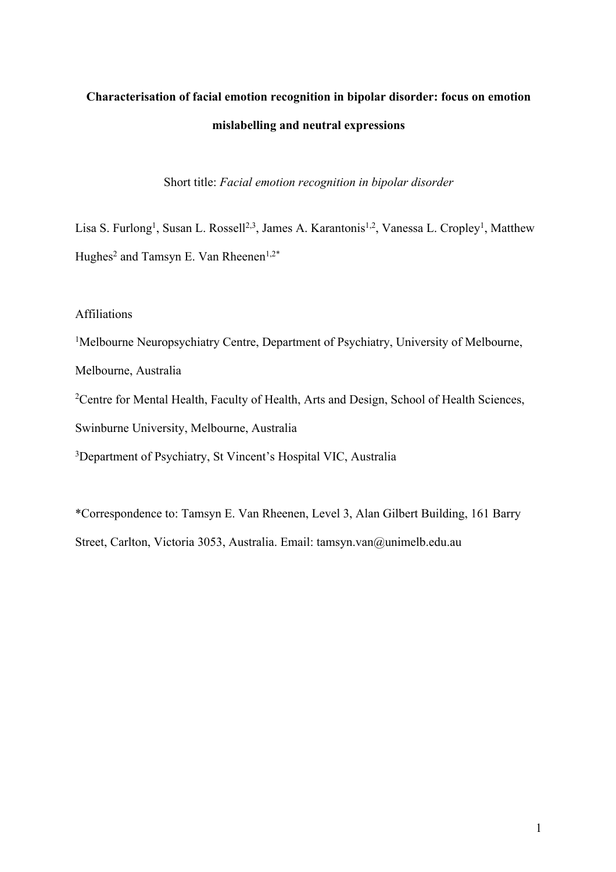# **Characterisation of facial emotion recognition in bipolar disorder: focus on emotion mislabelling and neutral expressions**

Short title: *Facial emotion recognition in bipolar disorder*

Lisa S. Furlong<sup>1</sup>, Susan L. Rossell<sup>2,3</sup>, James A. Karantonis<sup>1,2</sup>, Vanessa L. Cropley<sup>1</sup>, Matthew Hughes<sup>2</sup> and Tamsyn E. Van Rheenen<sup>1,2\*</sup>

Affiliations

<sup>1</sup>Melbourne Neuropsychiatry Centre, Department of Psychiatry, University of Melbourne,

Melbourne, Australia

<sup>2</sup> Centre for Mental Health, Faculty of Health, Arts and Design, School of Health Sciences, Swinburne University, Melbourne, Australia

<sup>3</sup>Department of Psychiatry, St Vincent's Hospital VIC, Australia

\*Correspondence to: Tamsyn E. Van Rheenen, Level 3, Alan Gilbert Building, 161 Barry Street, Carlton, Victoria 3053, Australia. Email: tamsyn.van@unimelb.edu.au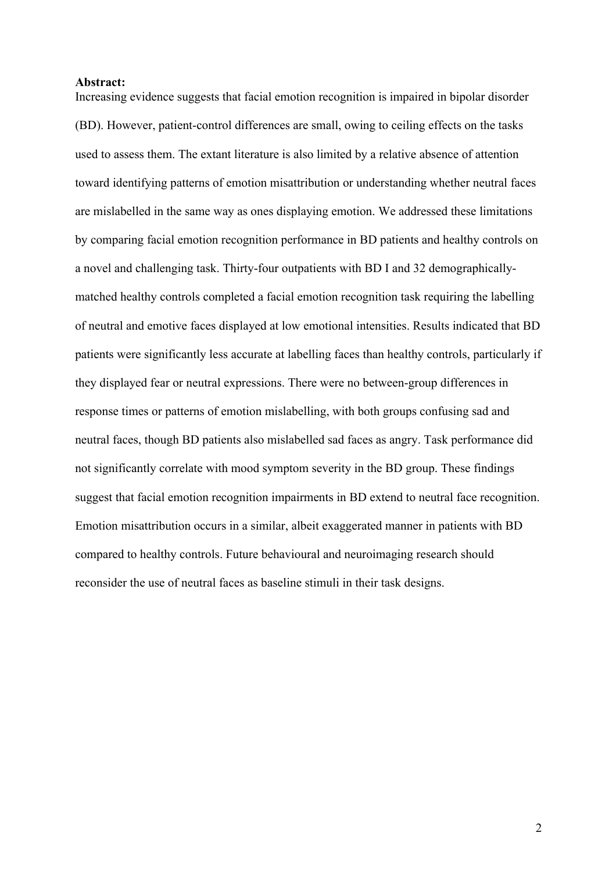#### **Abstract:**

Increasing evidence suggests that facial emotion recognition is impaired in bipolar disorder (BD). However, patient-control differences are small, owing to ceiling effects on the tasks used to assess them. The extant literature is also limited by a relative absence of attention toward identifying patterns of emotion misattribution or understanding whether neutral faces are mislabelled in the same way as ones displaying emotion. We addressed these limitations by comparing facial emotion recognition performance in BD patients and healthy controls on a novel and challenging task. Thirty-four outpatients with BD I and 32 demographicallymatched healthy controls completed a facial emotion recognition task requiring the labelling of neutral and emotive faces displayed at low emotional intensities. Results indicated that BD patients were significantly less accurate at labelling faces than healthy controls, particularly if they displayed fear or neutral expressions. There were no between-group differences in response times or patterns of emotion mislabelling, with both groups confusing sad and neutral faces, though BD patients also mislabelled sad faces as angry. Task performance did not significantly correlate with mood symptom severity in the BD group. These findings suggest that facial emotion recognition impairments in BD extend to neutral face recognition. Emotion misattribution occurs in a similar, albeit exaggerated manner in patients with BD compared to healthy controls. Future behavioural and neuroimaging research should reconsider the use of neutral faces as baseline stimuli in their task designs.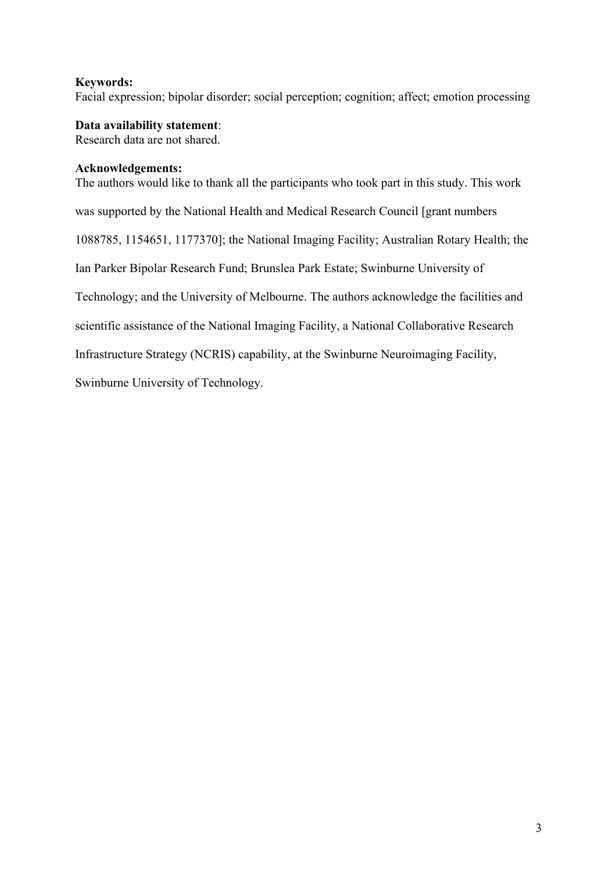# **Keywords:**

Facial expression; bipolar disorder; social perception; cognition; affect; emotion processing

**Data availability statement**: Research data are not shared.

## **Acknowledgements:**

The authors would like to thank all the participants who took part in this study. This work was supported by the National Health and Medical Research Council [grant numbers 1088785, 1154651, 1177370]; the National Imaging Facility; Australian Rotary Health; the Ian Parker Bipolar Research Fund; Brunslea Park Estate; Swinburne University of Technology; and the University of Melbourne. The authors acknowledge the facilities and scientific assistance of the National Imaging Facility, a National Collaborative Research Infrastructure Strategy (NCRIS) capability, at the Swinburne Neuroimaging Facility,

Swinburne University of Technology.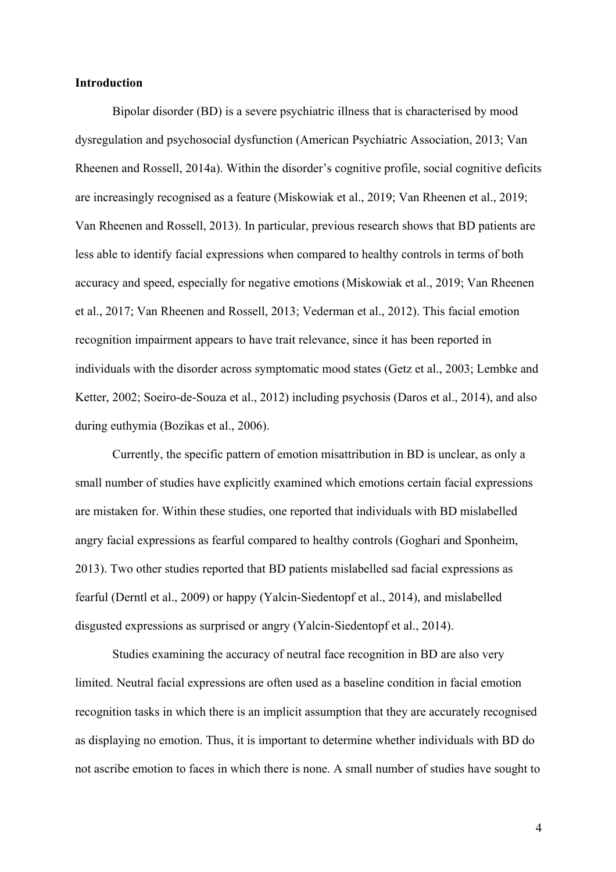## **Introduction**

Bipolar disorder (BD) is a severe psychiatric illness that is characterised by mood dysregulation and psychosocial dysfunction (American Psychiatric Association, 2013; Van Rheenen and Rossell, 2014a). Within the disorder's cognitive profile, social cognitive deficits are increasingly recognised as a feature (Miskowiak et al., 2019; Van Rheenen et al., 2019; Van Rheenen and Rossell, 2013). In particular, previous research shows that BD patients are less able to identify facial expressions when compared to healthy controls in terms of both accuracy and speed, especially for negative emotions (Miskowiak et al., 2019; Van Rheenen et al., 2017; Van Rheenen and Rossell, 2013; Vederman et al., 2012). This facial emotion recognition impairment appears to have trait relevance, since it has been reported in individuals with the disorder across symptomatic mood states (Getz et al., 2003; Lembke and Ketter, 2002; Soeiro-de-Souza et al., 2012) including psychosis (Daros et al., 2014), and also during euthymia (Bozikas et al., 2006).

Currently, the specific pattern of emotion misattribution in BD is unclear, as only a small number of studies have explicitly examined which emotions certain facial expressions are mistaken for. Within these studies, one reported that individuals with BD mislabelled angry facial expressions as fearful compared to healthy controls (Goghari and Sponheim, 2013). Two other studies reported that BD patients mislabelled sad facial expressions as fearful (Derntl et al., 2009) or happy (Yalcin-Siedentopf et al., 2014), and mislabelled disgusted expressions as surprised or angry (Yalcin-Siedentopf et al., 2014).

Studies examining the accuracy of neutral face recognition in BD are also very limited. Neutral facial expressions are often used as a baseline condition in facial emotion recognition tasks in which there is an implicit assumption that they are accurately recognised as displaying no emotion. Thus, it is important to determine whether individuals with BD do not ascribe emotion to faces in which there is none. A small number of studies have sought to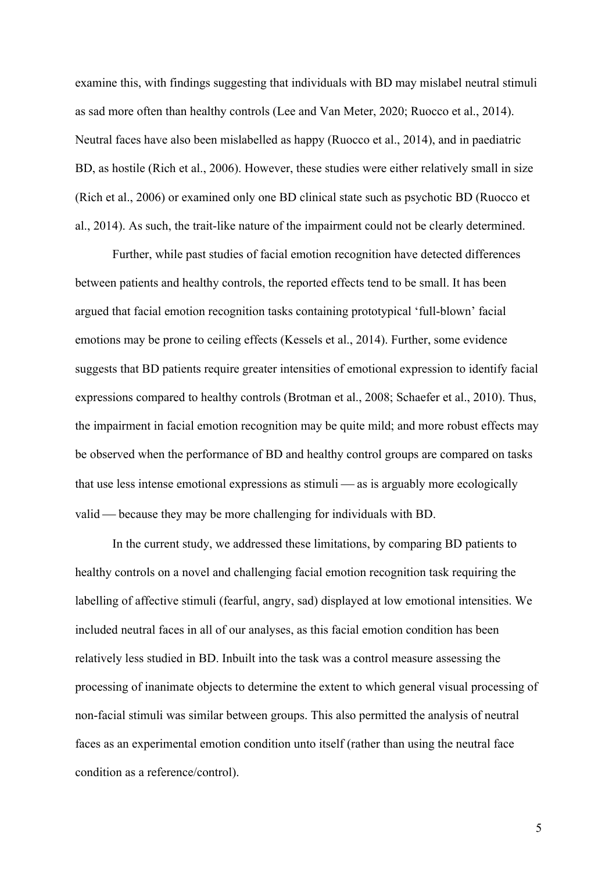examine this, with findings suggesting that individuals with BD may mislabel neutral stimuli as sad more often than healthy controls (Lee and Van Meter, 2020; Ruocco et al., 2014). Neutral faces have also been mislabelled as happy (Ruocco et al., 2014), and in paediatric BD, as hostile (Rich et al., 2006). However, these studies were either relatively small in size (Rich et al., 2006) or examined only one BD clinical state such as psychotic BD (Ruocco et al., 2014). As such, the trait-like nature of the impairment could not be clearly determined.

Further, while past studies of facial emotion recognition have detected differences between patients and healthy controls, the reported effects tend to be small. It has been argued that facial emotion recognition tasks containing prototypical 'full-blown' facial emotions may be prone to ceiling effects (Kessels et al., 2014). Further, some evidence suggests that BD patients require greater intensities of emotional expression to identify facial expressions compared to healthy controls (Brotman et al., 2008; Schaefer et al., 2010). Thus, the impairment in facial emotion recognition may be quite mild; and more robust effects may be observed when the performance of BD and healthy control groups are compared on tasks that use less intense emotional expressions as stimuli  $\frac{1}{1}$  as is arguably more ecologically valid — because they may be more challenging for individuals with BD.

In the current study, we addressed these limitations, by comparing BD patients to healthy controls on a novel and challenging facial emotion recognition task requiring the labelling of affective stimuli (fearful, angry, sad) displayed at low emotional intensities. We included neutral faces in all of our analyses, as this facial emotion condition has been relatively less studied in BD. Inbuilt into the task was a control measure assessing the processing of inanimate objects to determine the extent to which general visual processing of non-facial stimuli was similar between groups. This also permitted the analysis of neutral faces as an experimental emotion condition unto itself (rather than using the neutral face condition as a reference/control).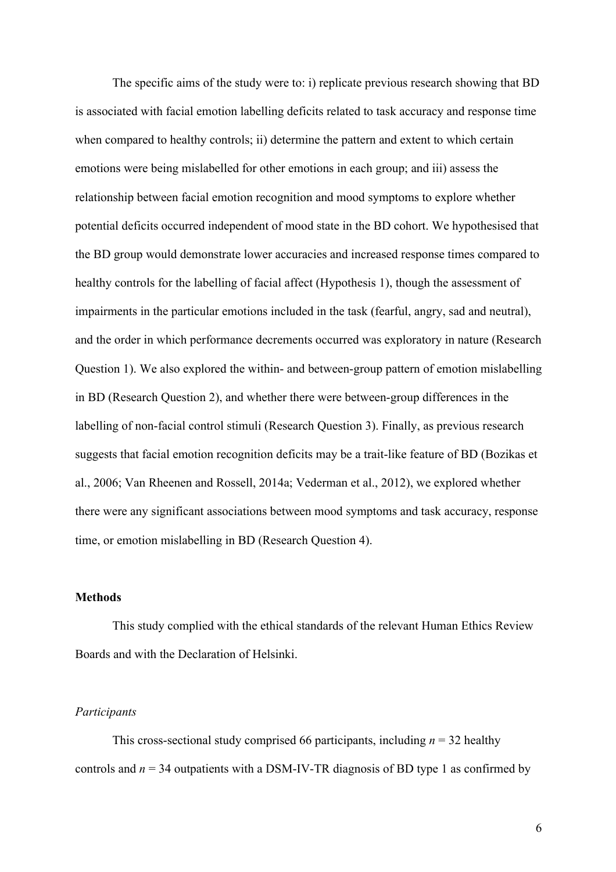The specific aims of the study were to: i) replicate previous research showing that BD is associated with facial emotion labelling deficits related to task accuracy and response time when compared to healthy controls; ii) determine the pattern and extent to which certain emotions were being mislabelled for other emotions in each group; and iii) assess the relationship between facial emotion recognition and mood symptoms to explore whether potential deficits occurred independent of mood state in the BD cohort. We hypothesised that the BD group would demonstrate lower accuracies and increased response times compared to healthy controls for the labelling of facial affect (Hypothesis 1), though the assessment of impairments in the particular emotions included in the task (fearful, angry, sad and neutral), and the order in which performance decrements occurred was exploratory in nature (Research Question 1). We also explored the within- and between-group pattern of emotion mislabelling in BD (Research Question 2), and whether there were between-group differences in the labelling of non-facial control stimuli (Research Question 3). Finally, as previous research suggests that facial emotion recognition deficits may be a trait-like feature of BD (Bozikas et al., 2006; Van Rheenen and Rossell, 2014a; Vederman et al., 2012), we explored whether there were any significant associations between mood symptoms and task accuracy, response time, or emotion mislabelling in BD (Research Question 4).

### **Methods**

This study complied with the ethical standards of the relevant Human Ethics Review Boards and with the Declaration of Helsinki.

#### *Participants*

This cross-sectional study comprised 66 participants, including  $n = 32$  healthy controls and  $n = 34$  outpatients with a DSM-IV-TR diagnosis of BD type 1 as confirmed by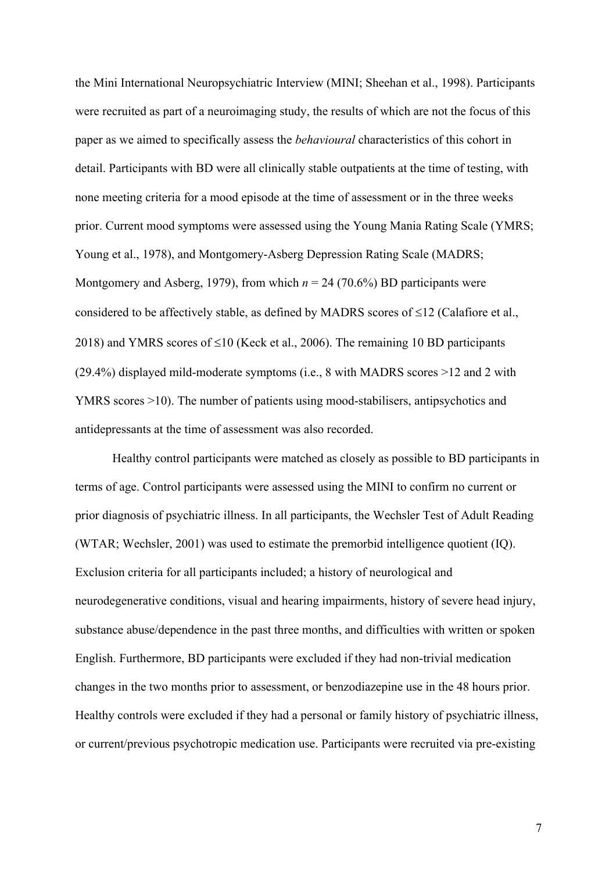the Mini International Neuropsychiatric Interview (MINI; Sheehan et al., 1998). Participants were recruited as part of a neuroimaging study, the results of which are not the focus of this paper as we aimed to specifically assess the *behavioural* characteristics of this cohort in detail. Participants with BD were all clinically stable outpatients at the time of testing, with none meeting criteria for a mood episode at the time of assessment or in the three weeks prior. Current mood symptoms were assessed using the Young Mania Rating Scale (YMRS; Young et al., 1978), and Montgomery-Asberg Depression Rating Scale (MADRS; Montgomery and Asberg, 1979), from which  $n = 24$  (70.6%) BD participants were considered to be affectively stable, as defined by MADRS scores of  $\leq$ 12 (Calafiore et al., 2018) and YMRS scores of  $\leq 10$  (Keck et al., 2006). The remaining 10 BD participants (29.4%) displayed mild-moderate symptoms (i.e., 8 with MADRS scores >12 and 2 with YMRS scores >10). The number of patients using mood-stabilisers, antipsychotics and antidepressants at the time of assessment was also recorded.

Healthy control participants were matched as closely as possible to BD participants in terms of age. Control participants were assessed using the MINI to confirm no current or prior diagnosis of psychiatric illness. In all participants, the Wechsler Test of Adult Reading (WTAR; Wechsler, 2001) was used to estimate the premorbid intelligence quotient (IQ). Exclusion criteria for all participants included; a history of neurological and neurodegenerative conditions, visual and hearing impairments, history of severe head injury, substance abuse/dependence in the past three months, and difficulties with written or spoken English. Furthermore, BD participants were excluded if they had non-trivial medication changes in the two months prior to assessment, or benzodiazepine use in the 48 hours prior. Healthy controls were excluded if they had a personal or family history of psychiatric illness, or current/previous psychotropic medication use. Participants were recruited via pre-existing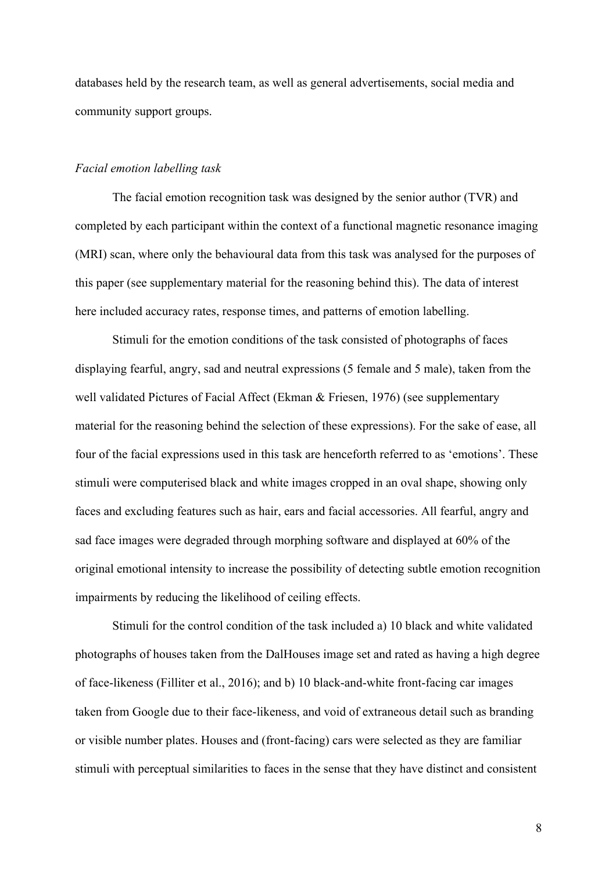databases held by the research team, as well as general advertisements, social media and community support groups.

### *Facial emotion labelling task*

The facial emotion recognition task was designed by the senior author (TVR) and completed by each participant within the context of a functional magnetic resonance imaging (MRI) scan, where only the behavioural data from this task was analysed for the purposes of this paper (see supplementary material for the reasoning behind this). The data of interest here included accuracy rates, response times, and patterns of emotion labelling.

Stimuli for the emotion conditions of the task consisted of photographs of faces displaying fearful, angry, sad and neutral expressions (5 female and 5 male), taken from the well validated Pictures of Facial Affect (Ekman & Friesen, 1976) (see supplementary material for the reasoning behind the selection of these expressions). For the sake of ease, all four of the facial expressions used in this task are henceforth referred to as 'emotions'. These stimuli were computerised black and white images cropped in an oval shape, showing only faces and excluding features such as hair, ears and facial accessories. All fearful, angry and sad face images were degraded through morphing software and displayed at 60% of the original emotional intensity to increase the possibility of detecting subtle emotion recognition impairments by reducing the likelihood of ceiling effects.

Stimuli for the control condition of the task included a) 10 black and white validated photographs of houses taken from the DalHouses image set and rated as having a high degree of face-likeness (Filliter et al., 2016); and b) 10 black-and-white front-facing car images taken from Google due to their face-likeness, and void of extraneous detail such as branding or visible number plates. Houses and (front-facing) cars were selected as they are familiar stimuli with perceptual similarities to faces in the sense that they have distinct and consistent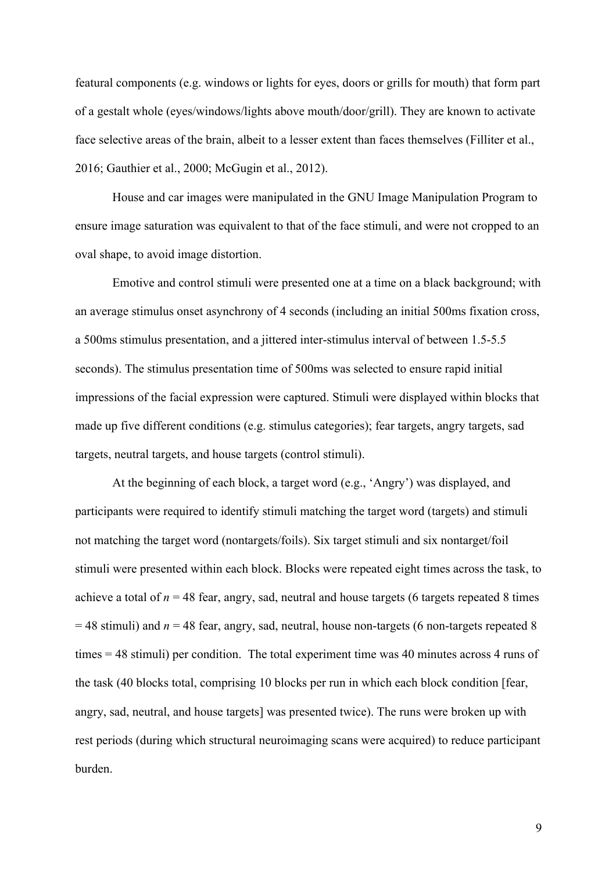featural components (e.g. windows or lights for eyes, doors or grills for mouth) that form part of a gestalt whole (eyes/windows/lights above mouth/door/grill). They are known to activate face selective areas of the brain, albeit to a lesser extent than faces themselves (Filliter et al., 2016; Gauthier et al., 2000; McGugin et al., 2012).

House and car images were manipulated in the GNU Image Manipulation Program to ensure image saturation was equivalent to that of the face stimuli, and were not cropped to an oval shape, to avoid image distortion.

Emotive and control stimuli were presented one at a time on a black background; with an average stimulus onset asynchrony of 4 seconds (including an initial 500ms fixation cross, a 500ms stimulus presentation, and a jittered inter-stimulus interval of between 1.5-5.5 seconds). The stimulus presentation time of 500ms was selected to ensure rapid initial impressions of the facial expression were captured. Stimuli were displayed within blocks that made up five different conditions (e.g. stimulus categories); fear targets, angry targets, sad targets, neutral targets, and house targets (control stimuli).

At the beginning of each block, a target word (e.g., 'Angry') was displayed, and participants were required to identify stimuli matching the target word (targets) and stimuli not matching the target word (nontargets/foils). Six target stimuli and six nontarget/foil stimuli were presented within each block. Blocks were repeated eight times across the task, to achieve a total of  $n = 48$  fear, angry, sad, neutral and house targets (6 targets repeated 8 times = 48 stimuli) and *n* = 48 fear, angry, sad, neutral, house non-targets (6 non-targets repeated 8 times = 48 stimuli) per condition. The total experiment time was 40 minutes across 4 runs of the task (40 blocks total, comprising 10 blocks per run in which each block condition [fear, angry, sad, neutral, and house targets] was presented twice). The runs were broken up with rest periods (during which structural neuroimaging scans were acquired) to reduce participant burden.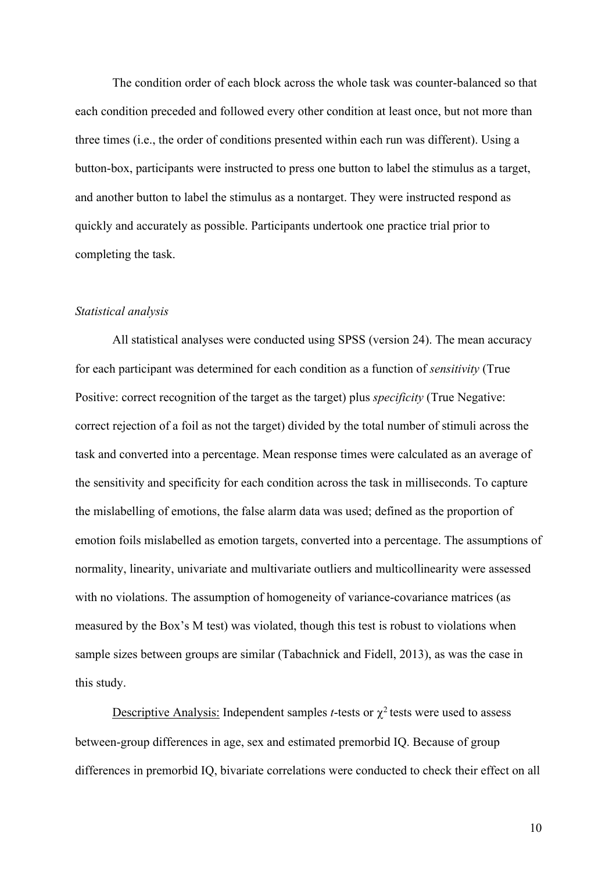The condition order of each block across the whole task was counter-balanced so that each condition preceded and followed every other condition at least once, but not more than three times (i.e., the order of conditions presented within each run was different). Using a button-box, participants were instructed to press one button to label the stimulus as a target, and another button to label the stimulus as a nontarget. They were instructed respond as quickly and accurately as possible. Participants undertook one practice trial prior to completing the task.

## *Statistical analysis*

All statistical analyses were conducted using SPSS (version 24). The mean accuracy for each participant was determined for each condition as a function of *sensitivity* (True Positive: correct recognition of the target as the target) plus *specificity* (True Negative: correct rejection of a foil as not the target) divided by the total number of stimuli across the task and converted into a percentage. Mean response times were calculated as an average of the sensitivity and specificity for each condition across the task in milliseconds. To capture the mislabelling of emotions, the false alarm data was used; defined as the proportion of emotion foils mislabelled as emotion targets, converted into a percentage. The assumptions of normality, linearity, univariate and multivariate outliers and multicollinearity were assessed with no violations. The assumption of homogeneity of variance-covariance matrices (as measured by the Box's M test) was violated, though this test is robust to violations when sample sizes between groups are similar (Tabachnick and Fidell, 2013), as was the case in this study.

Descriptive Analysis: Independent samples *t*-tests or  $\chi^2$  tests were used to assess between-group differences in age, sex and estimated premorbid IQ. Because of group differences in premorbid IQ, bivariate correlations were conducted to check their effect on all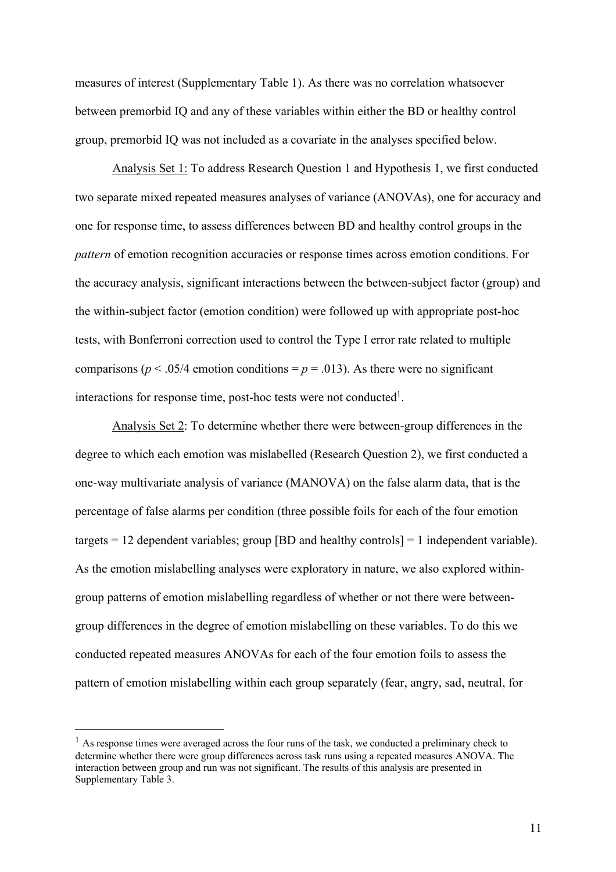measures of interest (Supplementary Table 1). As there was no correlation whatsoever between premorbid IQ and any of these variables within either the BD or healthy control group, premorbid IQ was not included as a covariate in the analyses specified below.

Analysis Set 1: To address Research Question 1 and Hypothesis 1, we first conducted two separate mixed repeated measures analyses of variance (ANOVAs), one for accuracy and one for response time, to assess differences between BD and healthy control groups in the *pattern* of emotion recognition accuracies or response times across emotion conditions. For the accuracy analysis, significant interactions between the between-subject factor (group) and the within-subject factor (emotion condition) were followed up with appropriate post-hoc tests, with Bonferroni correction used to control the Type I error rate related to multiple comparisons ( $p < .05/4$  emotion conditions =  $p = .013$ ). As there were no significant interactions for response time, post-hoc tests were not conducted<sup>1</sup>.

Analysis Set 2: To determine whether there were between-group differences in the degree to which each emotion was mislabelled (Research Question 2), we first conducted a one-way multivariate analysis of variance (MANOVA) on the false alarm data, that is the percentage of false alarms per condition (three possible foils for each of the four emotion targets  $= 12$  dependent variables; group [BD and healthy controls]  $= 1$  independent variable). As the emotion mislabelling analyses were exploratory in nature, we also explored withingroup patterns of emotion mislabelling regardless of whether or not there were betweengroup differences in the degree of emotion mislabelling on these variables. To do this we conducted repeated measures ANOVAs for each of the four emotion foils to assess the pattern of emotion mislabelling within each group separately (fear, angry, sad, neutral, for

 $<sup>1</sup>$  As response times were averaged across the four runs of the task, we conducted a preliminary check to</sup> determine whether there were group differences across task runs using a repeated measures ANOVA. The interaction between group and run was not significant. The results of this analysis are presented in Supplementary Table 3.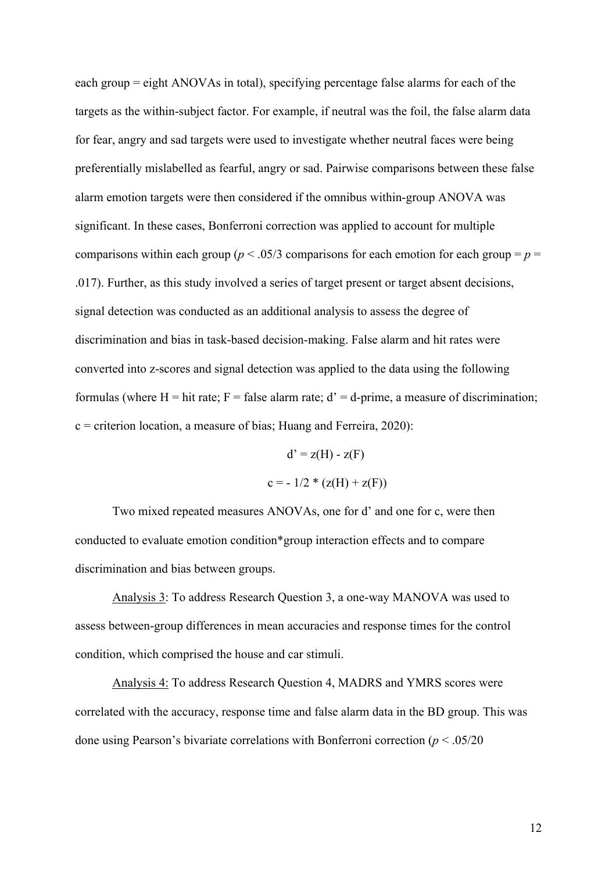each group = eight ANOVAs in total), specifying percentage false alarms for each of the targets as the within-subject factor. For example, if neutral was the foil, the false alarm data for fear, angry and sad targets were used to investigate whether neutral faces were being preferentially mislabelled as fearful, angry or sad. Pairwise comparisons between these false alarm emotion targets were then considered if the omnibus within-group ANOVA was significant. In these cases, Bonferroni correction was applied to account for multiple comparisons within each group ( $p < .05/3$  comparisons for each emotion for each group =  $p =$ .017). Further, as this study involved a series of target present or target absent decisions, signal detection was conducted as an additional analysis to assess the degree of discrimination and bias in task-based decision-making. False alarm and hit rates were converted into z-scores and signal detection was applied to the data using the following formulas (where H = hit rate;  $F = false$  alarm rate;  $d' = d$ -prime, a measure of discrimination;  $c =$  criterion location, a measure of bias; Huang and Ferreira, 2020):

$$
d' = z(H) - z(F)
$$

$$
c = -1/2 * (z(H) + z(F))
$$

Two mixed repeated measures ANOVAs, one for d' and one for c, were then conducted to evaluate emotion condition\*group interaction effects and to compare discrimination and bias between groups.

Analysis 3: To address Research Question 3, a one-way MANOVA was used to assess between-group differences in mean accuracies and response times for the control condition, which comprised the house and car stimuli.

Analysis 4: To address Research Question 4, MADRS and YMRS scores were correlated with the accuracy, response time and false alarm data in the BD group. This was done using Pearson's bivariate correlations with Bonferroni correction (*p* < .05/20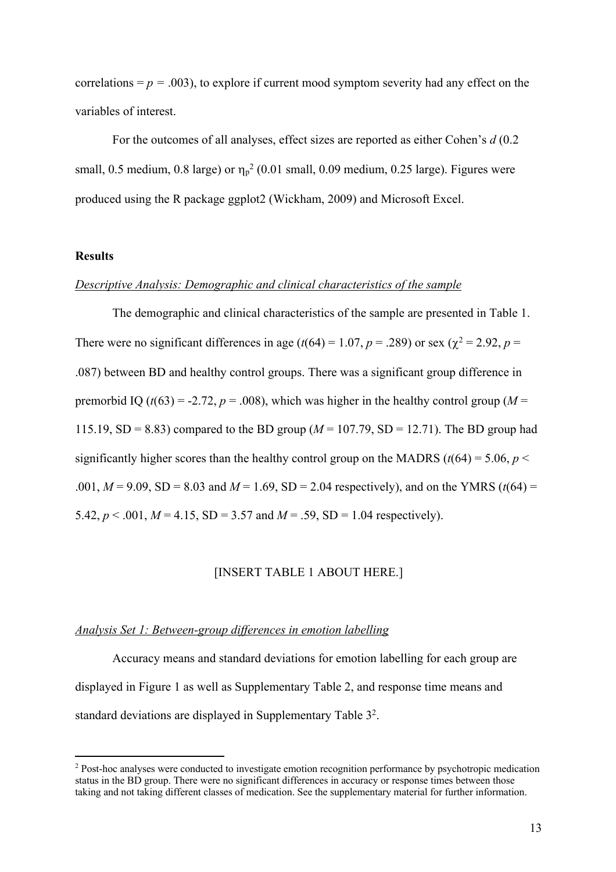correlations  $= p = .003$ ), to explore if current mood symptom severity had any effect on the variables of interest.

For the outcomes of all analyses, effect sizes are reported as either Cohen's *d* (0.2 small, 0.5 medium, 0.8 large) or  $\eta_p^2$  (0.01 small, 0.09 medium, 0.25 large). Figures were produced using the R package ggplot2 (Wickham, 2009) and Microsoft Excel.

## **Results**

#### *Descriptive Analysis: Demographic and clinical characteristics of the sample*

The demographic and clinical characteristics of the sample are presented in Table 1. There were no significant differences in age ( $t(64) = 1.07$ ,  $p = .289$ ) or sex ( $\chi^2 = 2.92$ ,  $p =$ .087) between BD and healthy control groups. There was a significant group difference in premorbid IQ ( $t(63) = -2.72$ ,  $p = .008$ ), which was higher in the healthy control group ( $M =$ 115.19, SD = 8.83) compared to the BD group ( $M = 107.79$ , SD = 12.71). The BD group had significantly higher scores than the healthy control group on the MADRS ( $t(64) = 5.06$ ,  $p <$ .001,  $M = 9.09$ , SD = 8.03 and  $M = 1.69$ , SD = 2.04 respectively), and on the YMRS ( $t(64)$ ) = 5.42,  $p < .001$ ,  $M = 4.15$ , SD = 3.57 and  $M = .59$ , SD = 1.04 respectively).

## [INSERT TABLE 1 ABOUT HERE.]

## *Analysis Set 1: Between-group differences in emotion labelling*

Accuracy means and standard deviations for emotion labelling for each group are displayed in Figure 1 as well as Supplementary Table 2, and response time means and standard deviations are displayed in Supplementary Table 32.

<sup>&</sup>lt;sup>2</sup> Post-hoc analyses were conducted to investigate emotion recognition performance by psychotropic medication status in the BD group. There were no significant differences in accuracy or response times between those taking and not taking different classes of medication. See the supplementary material for further information.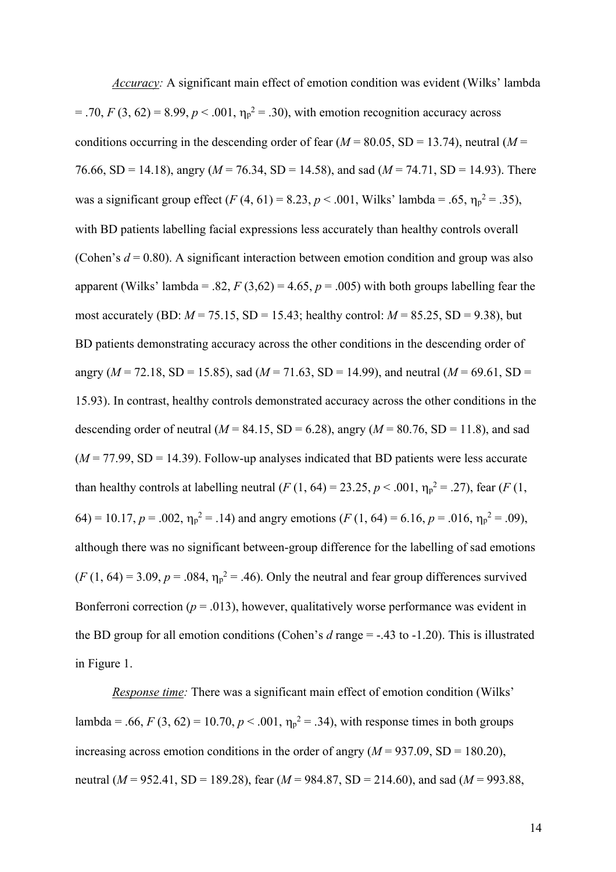*Accuracy:* A significant main effect of emotion condition was evident (Wilks' lambda  $= .70, F(3, 62) = 8.99, p < .001, \eta_p^2 = .30$ , with emotion recognition accuracy across conditions occurring in the descending order of fear  $(M = 80.05, SD = 13.74)$ , neutral  $(M =$ 76.66, SD = 14.18), angry (*M* = 76.34, SD = 14.58), and sad (*M* = 74.71, SD = 14.93). There was a significant group effect  $(F(4, 61) = 8.23, p < .001,$  Wilks' lambda = .65,  $\eta_p^2 = .35$ ), with BD patients labelling facial expressions less accurately than healthy controls overall (Cohen's  $d = 0.80$ ). A significant interaction between emotion condition and group was also apparent (Wilks' lambda = .82,  $F(3,62) = 4.65$ ,  $p = .005$ ) with both groups labelling fear the most accurately (BD:  $M = 75.15$ , SD = 15.43; healthy control:  $M = 85.25$ , SD = 9.38), but BD patients demonstrating accuracy across the other conditions in the descending order of angry ( $M = 72.18$ , SD = 15.85), sad ( $M = 71.63$ , SD = 14.99), and neutral ( $M = 69.61$ , SD = 15.93). In contrast, healthy controls demonstrated accuracy across the other conditions in the descending order of neutral ( $M = 84.15$ , SD = 6.28), angry ( $M = 80.76$ , SD = 11.8), and sad  $(M = 77.99, SD = 14.39)$ . Follow-up analyses indicated that BD patients were less accurate than healthy controls at labelling neutral  $(F(1, 64) = 23.25, p < .001, \eta_p^2 = .27)$ , fear  $(F(1, 64) = 23.25, p < .001)$ 64) = 10.17,  $p = .002$ ,  $\eta_p^2 = .14$ ) and angry emotions ( $F(1, 64) = 6.16$ ,  $p = .016$ ,  $\eta_p^2 = .09$ ), although there was no significant between-group difference for the labelling of sad emotions  $(F(1, 64) = 3.09, p = .084, \eta_p^2 = .46)$ . Only the neutral and fear group differences survived Bonferroni correction ( $p = .013$ ), however, qualitatively worse performance was evident in the BD group for all emotion conditions (Cohen's *d* range = -.43 to -1.20). This is illustrated in Figure 1.

*Response time:* There was a significant main effect of emotion condition (Wilks' lambda = .66,  $F(3, 62) = 10.70, p < .001, \eta_p^2 = .34$ ), with response times in both groups increasing across emotion conditions in the order of angry  $(M = 937.09, SD = 180.20)$ , neutral (*M* = 952.41, SD = 189.28), fear (*M* = 984.87, SD = 214.60), and sad (*M* = 993.88,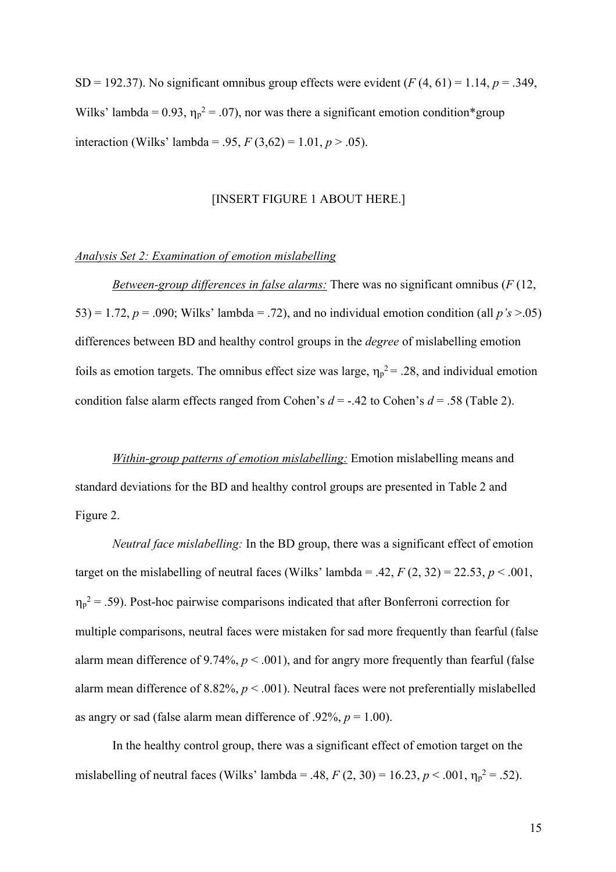SD = 192.37). No significant omnibus group effects were evident  $(F(4, 61) = 1.14, p = .349,$ Wilks' lambda = 0.93,  $\eta_p^2 = 0.07$ , nor was there a significant emotion condition\*group interaction (Wilks' lambda = .95,  $F(3,62) = 1.01, p > .05$ ).

## [INSERT FIGURE 1 ABOUT HERE.]

## *Analysis Set 2: Examination of emotion mislabelling*

*Between-group differences in false alarms:* There was no significant omnibus (*F* (12, 53) = 1.72,  $p = .090$ ; Wilks' lambda = .72), and no individual emotion condition (all  $p's > .05$ ) differences between BD and healthy control groups in the *degree* of mislabelling emotion foils as emotion targets. The omnibus effect size was large,  $\eta_p^2 = 0.28$ , and individual emotion condition false alarm effects ranged from Cohen's *d* = -.42 to Cohen's *d* = .58 (Table 2).

*Within-group patterns of emotion mislabelling:* Emotion mislabelling means and standard deviations for the BD and healthy control groups are presented in Table 2 and Figure 2.

*Neutral face mislabelling:* In the BD group, there was a significant effect of emotion target on the mislabelling of neutral faces (Wilks' lambda = .42,  $F(2, 32) = 22.53$ ,  $p < .001$ ,  $\eta_p^2$  = .59). Post-hoc pairwise comparisons indicated that after Bonferroni correction for multiple comparisons, neutral faces were mistaken for sad more frequently than fearful (false alarm mean difference of 9.74%,  $p < .001$ ), and for angry more frequently than fearful (false alarm mean difference of 8.82%, *p* < .001). Neutral faces were not preferentially mislabelled as angry or sad (false alarm mean difference of .92%,  $p = 1.00$ ).

In the healthy control group, there was a significant effect of emotion target on the mislabelling of neutral faces (Wilks' lambda = .48,  $F(2, 30) = 16.23, p < .001, \eta_p^2 = .52$ ).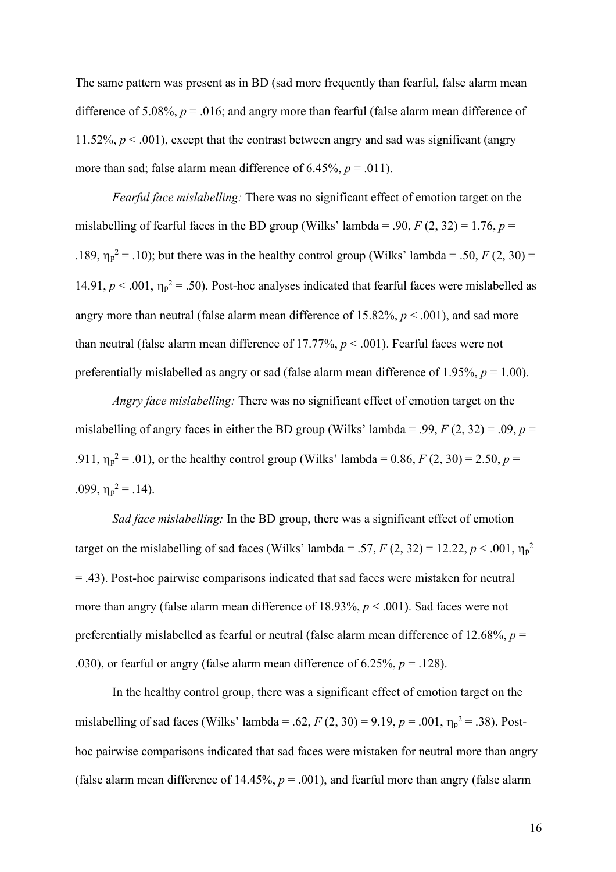The same pattern was present as in BD (sad more frequently than fearful, false alarm mean difference of 5.08%,  $p = 0.016$ ; and angry more than fearful (false alarm mean difference of 11.52%,  $p < .001$ ), except that the contrast between angry and sad was significant (angry more than sad; false alarm mean difference of  $6.45\%$ ,  $p = .011$ ).

*Fearful face mislabelling:* There was no significant effect of emotion target on the mislabelling of fearful faces in the BD group (Wilks' lambda = .90,  $F(2, 32) = 1.76$ ,  $p =$ .189,  $\eta_p^2 = 0.10$ ; but there was in the healthy control group (Wilks' lambda = .50, *F* (2, 30) = 14.91,  $p < .001$ ,  $\eta_p^2 = .50$ ). Post-hoc analyses indicated that fearful faces were mislabelled as angry more than neutral (false alarm mean difference of 15.82%, *p* < .001), and sad more than neutral (false alarm mean difference of 17.77%,  $p < .001$ ). Fearful faces were not preferentially mislabelled as angry or sad (false alarm mean difference of 1.95%,  $p = 1.00$ ).

*Angry face mislabelling:* There was no significant effect of emotion target on the mislabelling of angry faces in either the BD group (Wilks' lambda = .99,  $F(2, 32) = .09$ ,  $p =$ .911,  $\eta_p^2 = .01$ ), or the healthy control group (Wilks' lambda = 0.86, *F* (2, 30) = 2.50, *p* = .099,  $\eta_p^2 = .14$ ).

*Sad face mislabelling:* In the BD group, there was a significant effect of emotion target on the mislabelling of sad faces (Wilks' lambda = .57,  $F(2, 32) = 12.22, p < .001, \eta_p^2$ = .43). Post-hoc pairwise comparisons indicated that sad faces were mistaken for neutral more than angry (false alarm mean difference of 18.93%, *p* < .001). Sad faces were not preferentially mislabelled as fearful or neutral (false alarm mean difference of 12.68%, *p* = .030), or fearful or angry (false alarm mean difference of  $6.25\%$ ,  $p = .128$ ).

In the healthy control group, there was a significant effect of emotion target on the mislabelling of sad faces (Wilks' lambda = .62,  $F(2, 30) = 9.19$ ,  $p = .001$ ,  $\eta_p^2 = .38$ ). Posthoc pairwise comparisons indicated that sad faces were mistaken for neutral more than angry (false alarm mean difference of 14.45%,  $p = .001$ ), and fearful more than angry (false alarm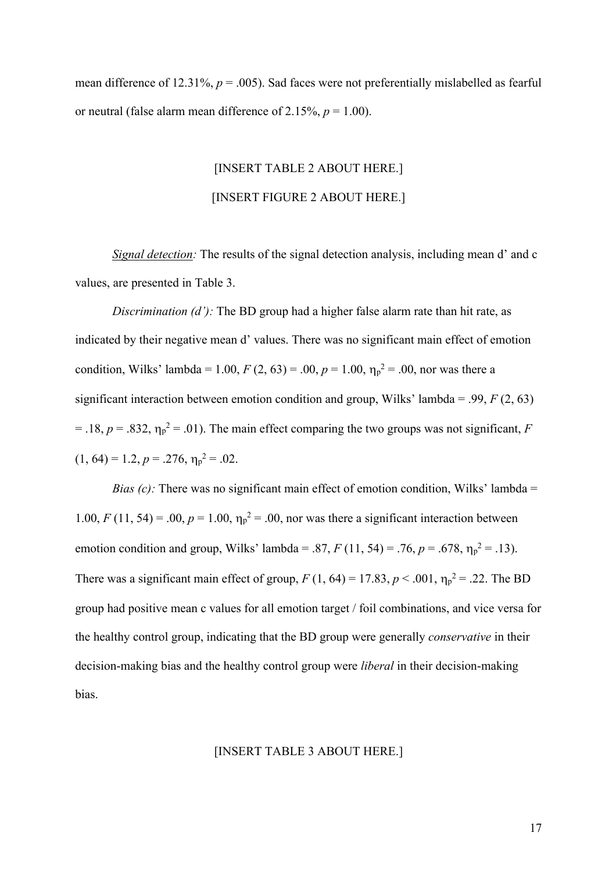mean difference of 12.31%,  $p = .005$ ). Sad faces were not preferentially mislabelled as fearful or neutral (false alarm mean difference of 2.15%,  $p = 1.00$ ).

# [INSERT TABLE 2 ABOUT HERE.] [INSERT FIGURE 2 ABOUT HERE.]

*Signal detection:* The results of the signal detection analysis, including mean d' and c values, are presented in Table 3.

*Discrimination (d'):* The BD group had a higher false alarm rate than hit rate, as indicated by their negative mean d' values. There was no significant main effect of emotion condition, Wilks' lambda = 1.00,  $F(2, 63) = .00$ ,  $p = 1.00$ ,  $\eta_p^2 = .00$ , nor was there a significant interaction between emotion condition and group, Wilks' lambda = .99, *F* (2, 63)  $=$  .18,  $p = .832$ ,  $\eta_p^2 = .01$ ). The main effect comparing the two groups was not significant, *F*  $(1, 64) = 1.2, p = .276, \eta_p^2 = .02.$ 

*Bias (c):* There was no significant main effect of emotion condition, Wilks' lambda = 1.00, *F* (11, 54) = .00,  $p = 1.00$ ,  $\eta_p^2 = 0.00$ , nor was there a significant interaction between emotion condition and group, Wilks' lambda = .87,  $F(11, 54) = .76$ ,  $p = .678$ ,  $\eta_p^2 = .13$ ). There was a significant main effect of group,  $F(1, 64) = 17.83$ ,  $p < .001$ ,  $\eta_p^2 = .22$ . The BD group had positive mean c values for all emotion target / foil combinations, and vice versa for the healthy control group, indicating that the BD group were generally *conservative* in their decision-making bias and the healthy control group were *liberal* in their decision-making bias.

## [INSERT TABLE 3 ABOUT HERE.]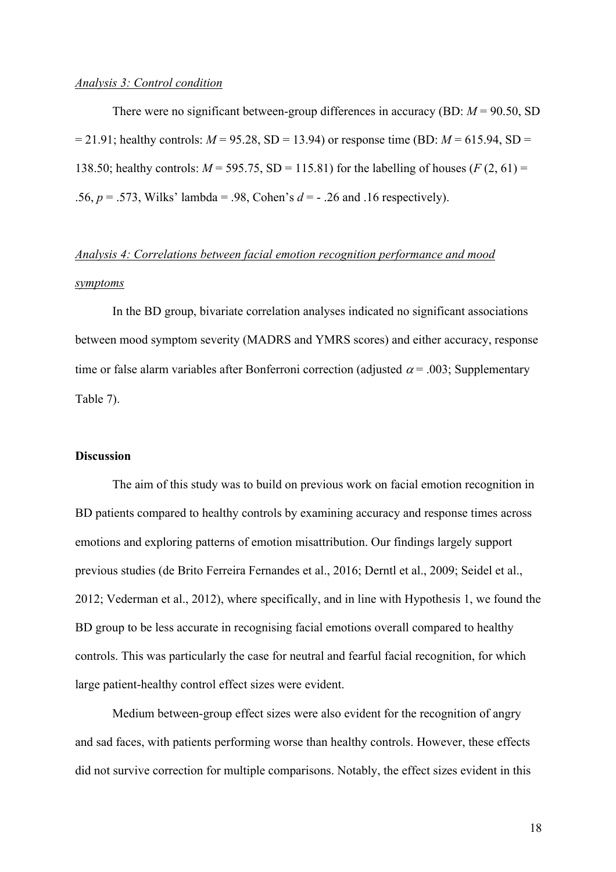### *Analysis 3: Control condition*

There were no significant between-group differences in accuracy (BD: *M* = 90.50, SD  $= 21.91$ ; healthy controls:  $M = 95.28$ , SD = 13.94) or response time (BD:  $M = 615.94$ , SD = 138.50; healthy controls:  $M = 595.75$ , SD = 115.81) for the labelling of houses ( $F(2, 61)$ ) = .56, *p* = .573, Wilks' lambda = .98, Cohen's *d* = - .26 and .16 respectively).

# *Analysis 4: Correlations between facial emotion recognition performance and mood symptoms*

In the BD group, bivariate correlation analyses indicated no significant associations between mood symptom severity (MADRS and YMRS scores) and either accuracy, response time or false alarm variables after Bonferroni correction (adjusted  $\alpha$  = .003; Supplementary Table 7).

### **Discussion**

The aim of this study was to build on previous work on facial emotion recognition in BD patients compared to healthy controls by examining accuracy and response times across emotions and exploring patterns of emotion misattribution. Our findings largely support previous studies (de Brito Ferreira Fernandes et al., 2016; Derntl et al., 2009; Seidel et al., 2012; Vederman et al., 2012), where specifically, and in line with Hypothesis 1, we found the BD group to be less accurate in recognising facial emotions overall compared to healthy controls. This was particularly the case for neutral and fearful facial recognition, for which large patient-healthy control effect sizes were evident.

Medium between-group effect sizes were also evident for the recognition of angry and sad faces, with patients performing worse than healthy controls. However, these effects did not survive correction for multiple comparisons. Notably, the effect sizes evident in this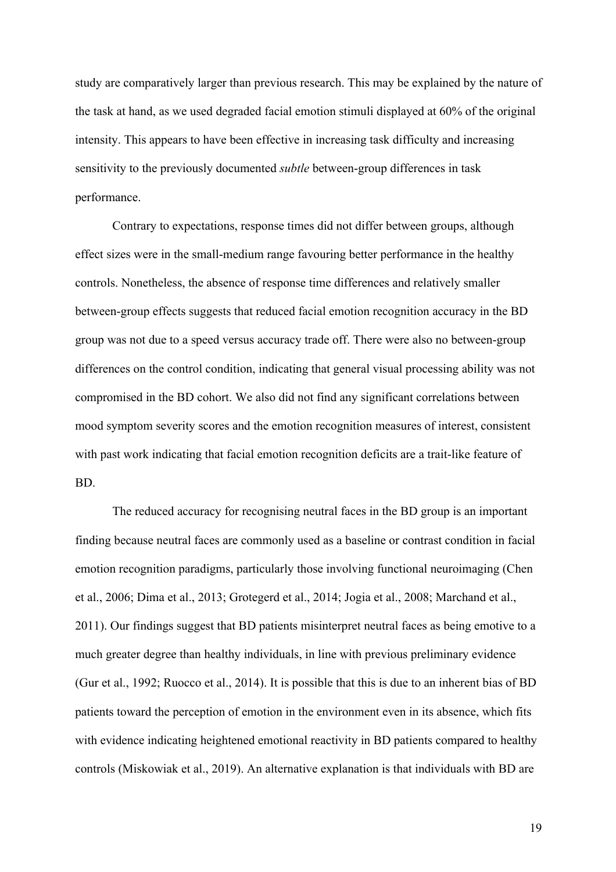study are comparatively larger than previous research. This may be explained by the nature of the task at hand, as we used degraded facial emotion stimuli displayed at 60% of the original intensity. This appears to have been effective in increasing task difficulty and increasing sensitivity to the previously documented *subtle* between-group differences in task performance.

Contrary to expectations, response times did not differ between groups, although effect sizes were in the small-medium range favouring better performance in the healthy controls. Nonetheless, the absence of response time differences and relatively smaller between-group effects suggests that reduced facial emotion recognition accuracy in the BD group was not due to a speed versus accuracy trade off. There were also no between-group differences on the control condition, indicating that general visual processing ability was not compromised in the BD cohort. We also did not find any significant correlations between mood symptom severity scores and the emotion recognition measures of interest, consistent with past work indicating that facial emotion recognition deficits are a trait-like feature of BD.

The reduced accuracy for recognising neutral faces in the BD group is an important finding because neutral faces are commonly used as a baseline or contrast condition in facial emotion recognition paradigms, particularly those involving functional neuroimaging (Chen et al., 2006; Dima et al., 2013; Grotegerd et al., 2014; Jogia et al., 2008; Marchand et al., 2011). Our findings suggest that BD patients misinterpret neutral faces as being emotive to a much greater degree than healthy individuals, in line with previous preliminary evidence (Gur et al., 1992; Ruocco et al., 2014). It is possible that this is due to an inherent bias of BD patients toward the perception of emotion in the environment even in its absence, which fits with evidence indicating heightened emotional reactivity in BD patients compared to healthy controls (Miskowiak et al., 2019). An alternative explanation is that individuals with BD are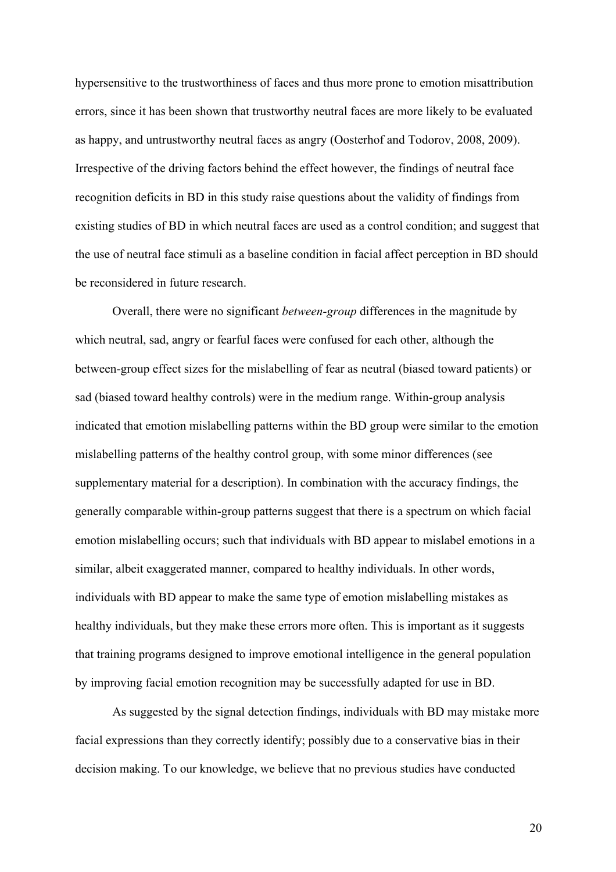hypersensitive to the trustworthiness of faces and thus more prone to emotion misattribution errors, since it has been shown that trustworthy neutral faces are more likely to be evaluated as happy, and untrustworthy neutral faces as angry (Oosterhof and Todorov, 2008, 2009). Irrespective of the driving factors behind the effect however, the findings of neutral face recognition deficits in BD in this study raise questions about the validity of findings from existing studies of BD in which neutral faces are used as a control condition; and suggest that the use of neutral face stimuli as a baseline condition in facial affect perception in BD should be reconsidered in future research.

Overall, there were no significant *between-group* differences in the magnitude by which neutral, sad, angry or fearful faces were confused for each other, although the between-group effect sizes for the mislabelling of fear as neutral (biased toward patients) or sad (biased toward healthy controls) were in the medium range. Within-group analysis indicated that emotion mislabelling patterns within the BD group were similar to the emotion mislabelling patterns of the healthy control group, with some minor differences (see supplementary material for a description). In combination with the accuracy findings, the generally comparable within-group patterns suggest that there is a spectrum on which facial emotion mislabelling occurs; such that individuals with BD appear to mislabel emotions in a similar, albeit exaggerated manner, compared to healthy individuals. In other words, individuals with BD appear to make the same type of emotion mislabelling mistakes as healthy individuals, but they make these errors more often. This is important as it suggests that training programs designed to improve emotional intelligence in the general population by improving facial emotion recognition may be successfully adapted for use in BD.

As suggested by the signal detection findings, individuals with BD may mistake more facial expressions than they correctly identify; possibly due to a conservative bias in their decision making. To our knowledge, we believe that no previous studies have conducted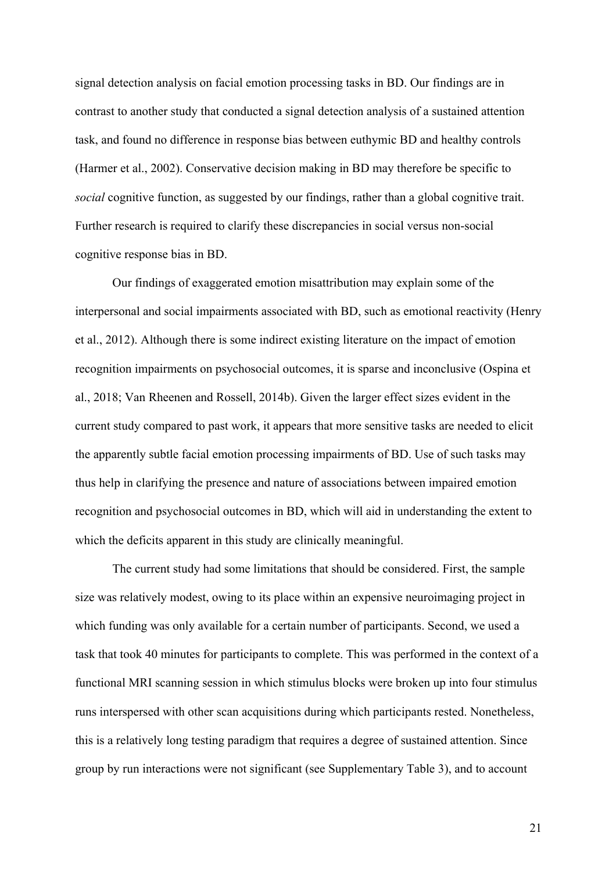signal detection analysis on facial emotion processing tasks in BD. Our findings are in contrast to another study that conducted a signal detection analysis of a sustained attention task, and found no difference in response bias between euthymic BD and healthy controls (Harmer et al., 2002). Conservative decision making in BD may therefore be specific to *social* cognitive function, as suggested by our findings, rather than a global cognitive trait. Further research is required to clarify these discrepancies in social versus non-social cognitive response bias in BD.

Our findings of exaggerated emotion misattribution may explain some of the interpersonal and social impairments associated with BD, such as emotional reactivity (Henry et al., 2012). Although there is some indirect existing literature on the impact of emotion recognition impairments on psychosocial outcomes, it is sparse and inconclusive (Ospina et al., 2018; Van Rheenen and Rossell, 2014b). Given the larger effect sizes evident in the current study compared to past work, it appears that more sensitive tasks are needed to elicit the apparently subtle facial emotion processing impairments of BD. Use of such tasks may thus help in clarifying the presence and nature of associations between impaired emotion recognition and psychosocial outcomes in BD, which will aid in understanding the extent to which the deficits apparent in this study are clinically meaningful.

The current study had some limitations that should be considered. First, the sample size was relatively modest, owing to its place within an expensive neuroimaging project in which funding was only available for a certain number of participants. Second, we used a task that took 40 minutes for participants to complete. This was performed in the context of a functional MRI scanning session in which stimulus blocks were broken up into four stimulus runs interspersed with other scan acquisitions during which participants rested. Nonetheless, this is a relatively long testing paradigm that requires a degree of sustained attention. Since group by run interactions were not significant (see Supplementary Table 3), and to account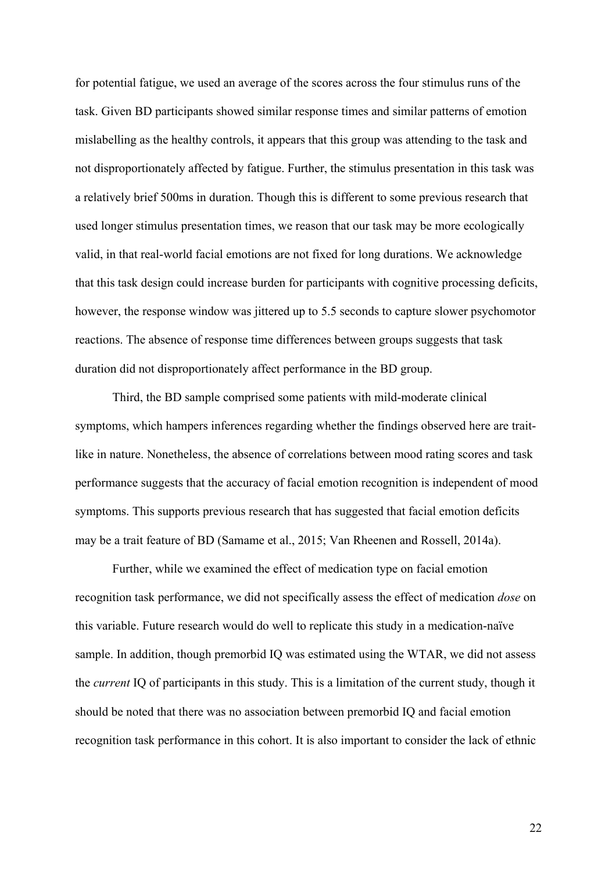for potential fatigue, we used an average of the scores across the four stimulus runs of the task. Given BD participants showed similar response times and similar patterns of emotion mislabelling as the healthy controls, it appears that this group was attending to the task and not disproportionately affected by fatigue. Further, the stimulus presentation in this task was a relatively brief 500ms in duration. Though this is different to some previous research that used longer stimulus presentation times, we reason that our task may be more ecologically valid, in that real-world facial emotions are not fixed for long durations. We acknowledge that this task design could increase burden for participants with cognitive processing deficits, however, the response window was jittered up to 5.5 seconds to capture slower psychomotor reactions. The absence of response time differences between groups suggests that task duration did not disproportionately affect performance in the BD group.

Third, the BD sample comprised some patients with mild-moderate clinical symptoms, which hampers inferences regarding whether the findings observed here are traitlike in nature. Nonetheless, the absence of correlations between mood rating scores and task performance suggests that the accuracy of facial emotion recognition is independent of mood symptoms. This supports previous research that has suggested that facial emotion deficits may be a trait feature of BD (Samame et al., 2015; Van Rheenen and Rossell, 2014a).

Further, while we examined the effect of medication type on facial emotion recognition task performance, we did not specifically assess the effect of medication *dose* on this variable. Future research would do well to replicate this study in a medication-naïve sample. In addition, though premorbid IQ was estimated using the WTAR, we did not assess the *current* IQ of participants in this study. This is a limitation of the current study, though it should be noted that there was no association between premorbid IQ and facial emotion recognition task performance in this cohort. It is also important to consider the lack of ethnic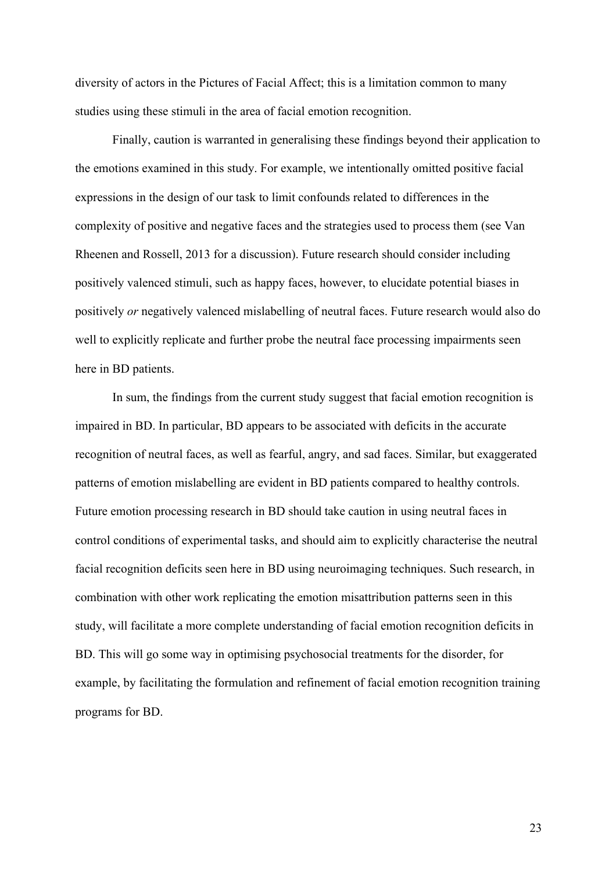diversity of actors in the Pictures of Facial Affect; this is a limitation common to many studies using these stimuli in the area of facial emotion recognition.

Finally, caution is warranted in generalising these findings beyond their application to the emotions examined in this study. For example, we intentionally omitted positive facial expressions in the design of our task to limit confounds related to differences in the complexity of positive and negative faces and the strategies used to process them (see Van Rheenen and Rossell, 2013 for a discussion). Future research should consider including positively valenced stimuli, such as happy faces, however, to elucidate potential biases in positively *or* negatively valenced mislabelling of neutral faces. Future research would also do well to explicitly replicate and further probe the neutral face processing impairments seen here in BD patients.

In sum, the findings from the current study suggest that facial emotion recognition is impaired in BD. In particular, BD appears to be associated with deficits in the accurate recognition of neutral faces, as well as fearful, angry, and sad faces. Similar, but exaggerated patterns of emotion mislabelling are evident in BD patients compared to healthy controls. Future emotion processing research in BD should take caution in using neutral faces in control conditions of experimental tasks, and should aim to explicitly characterise the neutral facial recognition deficits seen here in BD using neuroimaging techniques. Such research, in combination with other work replicating the emotion misattribution patterns seen in this study, will facilitate a more complete understanding of facial emotion recognition deficits in BD. This will go some way in optimising psychosocial treatments for the disorder, for example, by facilitating the formulation and refinement of facial emotion recognition training programs for BD.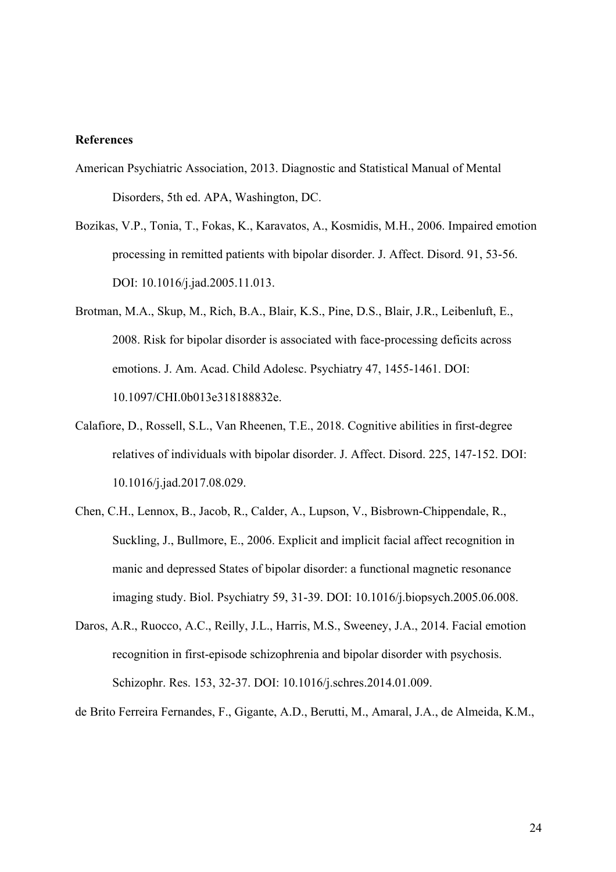#### **References**

- American Psychiatric Association, 2013. Diagnostic and Statistical Manual of Mental Disorders, 5th ed. APA, Washington, DC.
- Bozikas, V.P., Tonia, T., Fokas, K., Karavatos, A., Kosmidis, M.H., 2006. Impaired emotion processing in remitted patients with bipolar disorder. J. Affect. Disord. 91, 53-56. DOI: 10.1016/j.jad.2005.11.013.
- Brotman, M.A., Skup, M., Rich, B.A., Blair, K.S., Pine, D.S., Blair, J.R., Leibenluft, E., 2008. Risk for bipolar disorder is associated with face-processing deficits across emotions. J. Am. Acad. Child Adolesc. Psychiatry 47, 1455-1461. DOI: 10.1097/CHI.0b013e318188832e.
- Calafiore, D., Rossell, S.L., Van Rheenen, T.E., 2018. Cognitive abilities in first-degree relatives of individuals with bipolar disorder. J. Affect. Disord. 225, 147-152. DOI: 10.1016/j.jad.2017.08.029.
- Chen, C.H., Lennox, B., Jacob, R., Calder, A., Lupson, V., Bisbrown-Chippendale, R., Suckling, J., Bullmore, E., 2006. Explicit and implicit facial affect recognition in manic and depressed States of bipolar disorder: a functional magnetic resonance imaging study. Biol. Psychiatry 59, 31-39. DOI: 10.1016/j.biopsych.2005.06.008.
- Daros, A.R., Ruocco, A.C., Reilly, J.L., Harris, M.S., Sweeney, J.A., 2014. Facial emotion recognition in first-episode schizophrenia and bipolar disorder with psychosis. Schizophr. Res. 153, 32-37. DOI: 10.1016/j.schres.2014.01.009.

de Brito Ferreira Fernandes, F., Gigante, A.D., Berutti, M., Amaral, J.A., de Almeida, K.M.,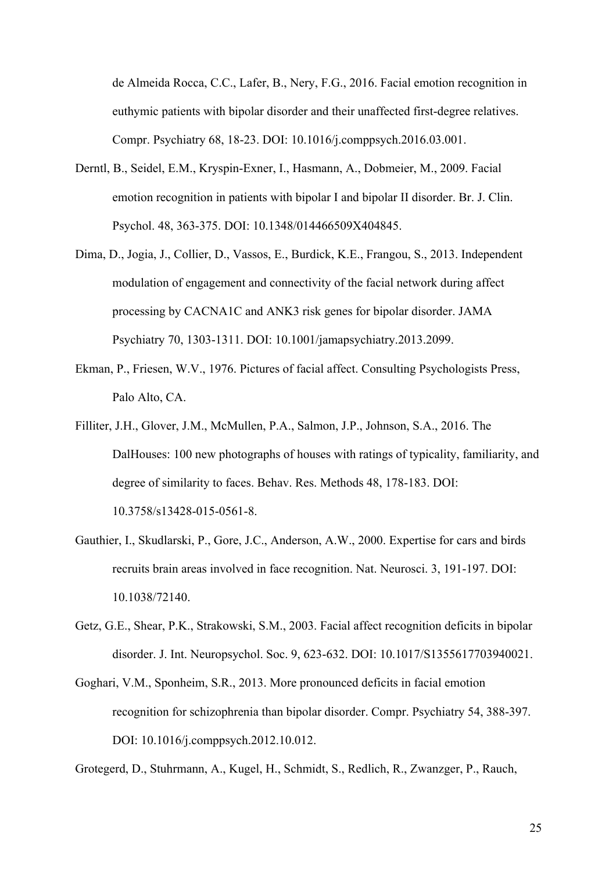de Almeida Rocca, C.C., Lafer, B., Nery, F.G., 2016. Facial emotion recognition in euthymic patients with bipolar disorder and their unaffected first-degree relatives. Compr. Psychiatry 68, 18-23. DOI: 10.1016/j.comppsych.2016.03.001.

- Derntl, B., Seidel, E.M., Kryspin-Exner, I., Hasmann, A., Dobmeier, M., 2009. Facial emotion recognition in patients with bipolar I and bipolar II disorder. Br. J. Clin. Psychol. 48, 363-375. DOI: 10.1348/014466509X404845.
- Dima, D., Jogia, J., Collier, D., Vassos, E., Burdick, K.E., Frangou, S., 2013. Independent modulation of engagement and connectivity of the facial network during affect processing by CACNA1C and ANK3 risk genes for bipolar disorder. JAMA Psychiatry 70, 1303-1311. DOI: 10.1001/jamapsychiatry.2013.2099.
- Ekman, P., Friesen, W.V., 1976. Pictures of facial affect. Consulting Psychologists Press, Palo Alto, CA.
- Filliter, J.H., Glover, J.M., McMullen, P.A., Salmon, J.P., Johnson, S.A., 2016. The DalHouses: 100 new photographs of houses with ratings of typicality, familiarity, and degree of similarity to faces. Behav. Res. Methods 48, 178-183. DOI: 10.3758/s13428-015-0561-8.
- Gauthier, I., Skudlarski, P., Gore, J.C., Anderson, A.W., 2000. Expertise for cars and birds recruits brain areas involved in face recognition. Nat. Neurosci. 3, 191-197. DOI: 10.1038/72140.
- Getz, G.E., Shear, P.K., Strakowski, S.M., 2003. Facial affect recognition deficits in bipolar disorder. J. Int. Neuropsychol. Soc. 9, 623-632. DOI: 10.1017/S1355617703940021.
- Goghari, V.M., Sponheim, S.R., 2013. More pronounced deficits in facial emotion recognition for schizophrenia than bipolar disorder. Compr. Psychiatry 54, 388-397. DOI: 10.1016/j.comppsych.2012.10.012.

Grotegerd, D., Stuhrmann, A., Kugel, H., Schmidt, S., Redlich, R., Zwanzger, P., Rauch,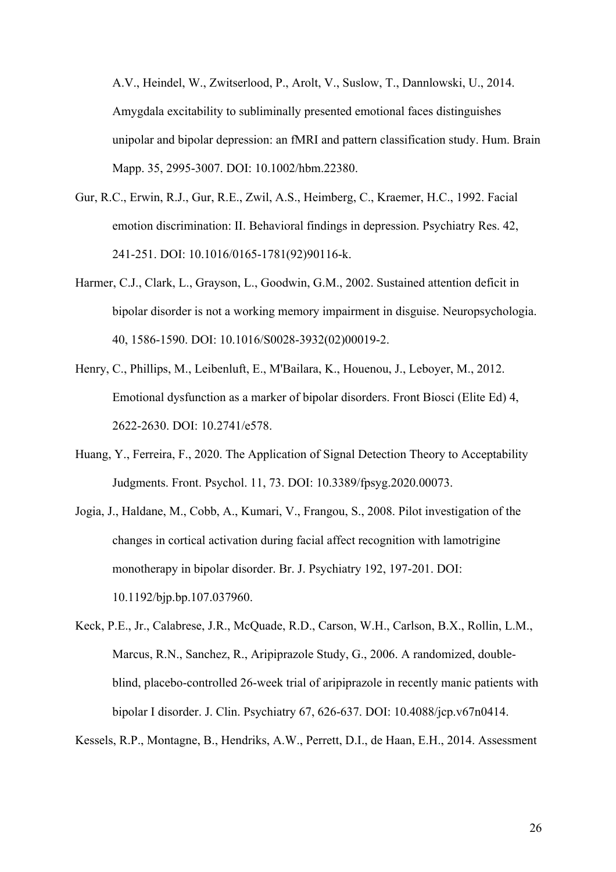A.V., Heindel, W., Zwitserlood, P., Arolt, V., Suslow, T., Dannlowski, U., 2014. Amygdala excitability to subliminally presented emotional faces distinguishes unipolar and bipolar depression: an fMRI and pattern classification study. Hum. Brain Mapp. 35, 2995-3007. DOI: 10.1002/hbm.22380.

- Gur, R.C., Erwin, R.J., Gur, R.E., Zwil, A.S., Heimberg, C., Kraemer, H.C., 1992. Facial emotion discrimination: II. Behavioral findings in depression. Psychiatry Res. 42, 241-251. DOI: 10.1016/0165-1781(92)90116-k.
- Harmer, C.J., Clark, L., Grayson, L., Goodwin, G.M., 2002. Sustained attention deficit in bipolar disorder is not a working memory impairment in disguise. Neuropsychologia. 40, 1586-1590. DOI: 10.1016/S0028-3932(02)00019-2.
- Henry, C., Phillips, M., Leibenluft, E., M'Bailara, K., Houenou, J., Leboyer, M., 2012. Emotional dysfunction as a marker of bipolar disorders. Front Biosci (Elite Ed) 4, 2622-2630. DOI: 10.2741/e578.
- Huang, Y., Ferreira, F., 2020. The Application of Signal Detection Theory to Acceptability Judgments. Front. Psychol. 11, 73. DOI: 10.3389/fpsyg.2020.00073.
- Jogia, J., Haldane, M., Cobb, A., Kumari, V., Frangou, S., 2008. Pilot investigation of the changes in cortical activation during facial affect recognition with lamotrigine monotherapy in bipolar disorder. Br. J. Psychiatry 192, 197-201. DOI: 10.1192/bjp.bp.107.037960.
- Keck, P.E., Jr., Calabrese, J.R., McQuade, R.D., Carson, W.H., Carlson, B.X., Rollin, L.M., Marcus, R.N., Sanchez, R., Aripiprazole Study, G., 2006. A randomized, doubleblind, placebo-controlled 26-week trial of aripiprazole in recently manic patients with bipolar I disorder. J. Clin. Psychiatry 67, 626-637. DOI: 10.4088/jcp.v67n0414.

Kessels, R.P., Montagne, B., Hendriks, A.W., Perrett, D.I., de Haan, E.H., 2014. Assessment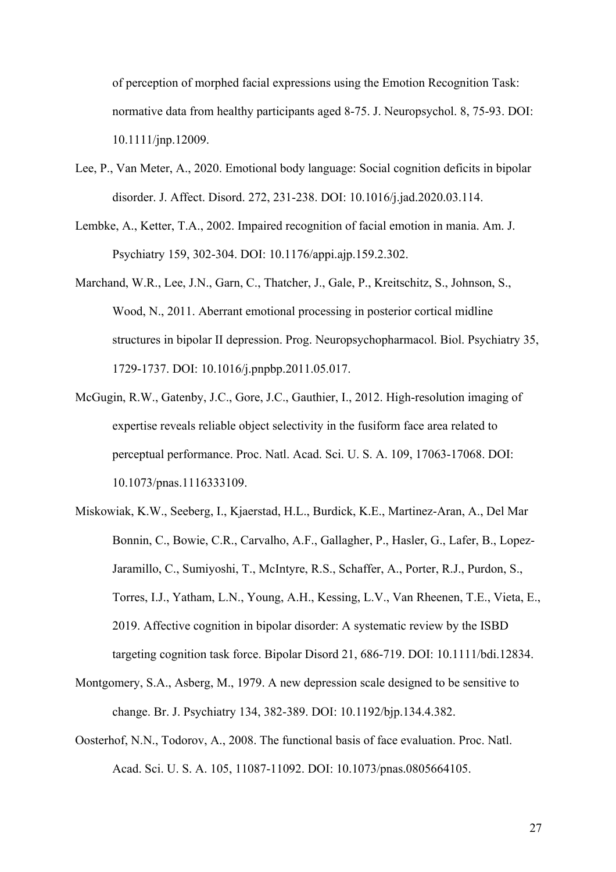of perception of morphed facial expressions using the Emotion Recognition Task: normative data from healthy participants aged 8-75. J. Neuropsychol. 8, 75-93. DOI: 10.1111/jnp.12009.

- Lee, P., Van Meter, A., 2020. Emotional body language: Social cognition deficits in bipolar disorder. J. Affect. Disord. 272, 231-238. DOI: 10.1016/j.jad.2020.03.114.
- Lembke, A., Ketter, T.A., 2002. Impaired recognition of facial emotion in mania. Am. J. Psychiatry 159, 302-304. DOI: 10.1176/appi.ajp.159.2.302.
- Marchand, W.R., Lee, J.N., Garn, C., Thatcher, J., Gale, P., Kreitschitz, S., Johnson, S., Wood, N., 2011. Aberrant emotional processing in posterior cortical midline structures in bipolar II depression. Prog. Neuropsychopharmacol. Biol. Psychiatry 35, 1729-1737. DOI: 10.1016/j.pnpbp.2011.05.017.
- McGugin, R.W., Gatenby, J.C., Gore, J.C., Gauthier, I., 2012. High-resolution imaging of expertise reveals reliable object selectivity in the fusiform face area related to perceptual performance. Proc. Natl. Acad. Sci. U. S. A. 109, 17063-17068. DOI: 10.1073/pnas.1116333109.
- Miskowiak, K.W., Seeberg, I., Kjaerstad, H.L., Burdick, K.E., Martinez-Aran, A., Del Mar Bonnin, C., Bowie, C.R., Carvalho, A.F., Gallagher, P., Hasler, G., Lafer, B., Lopez-Jaramillo, C., Sumiyoshi, T., McIntyre, R.S., Schaffer, A., Porter, R.J., Purdon, S., Torres, I.J., Yatham, L.N., Young, A.H., Kessing, L.V., Van Rheenen, T.E., Vieta, E., 2019. Affective cognition in bipolar disorder: A systematic review by the ISBD targeting cognition task force. Bipolar Disord 21, 686-719. DOI: 10.1111/bdi.12834.
- Montgomery, S.A., Asberg, M., 1979. A new depression scale designed to be sensitive to change. Br. J. Psychiatry 134, 382-389. DOI: 10.1192/bjp.134.4.382.
- Oosterhof, N.N., Todorov, A., 2008. The functional basis of face evaluation. Proc. Natl. Acad. Sci. U. S. A. 105, 11087-11092. DOI: 10.1073/pnas.0805664105.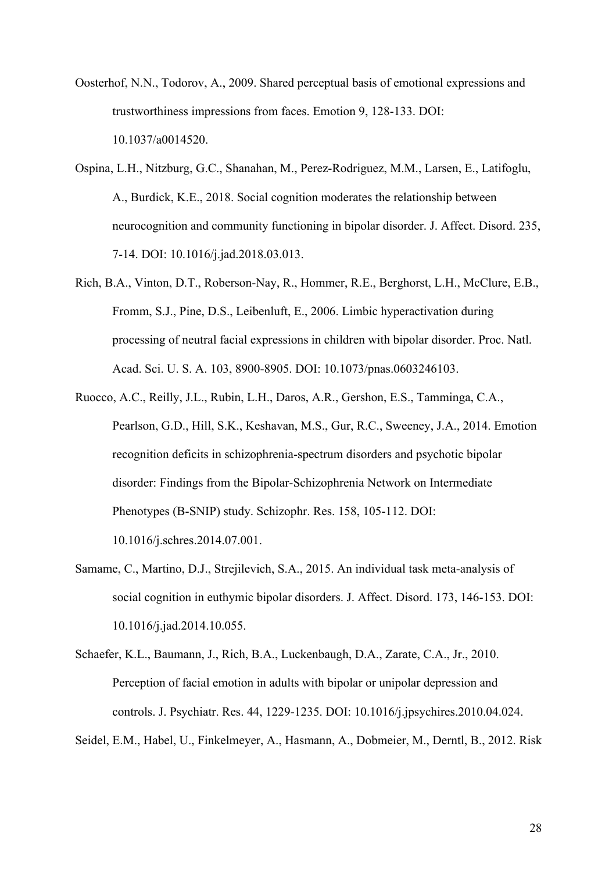- Oosterhof, N.N., Todorov, A., 2009. Shared perceptual basis of emotional expressions and trustworthiness impressions from faces. Emotion 9, 128-133. DOI: 10.1037/a0014520.
- Ospina, L.H., Nitzburg, G.C., Shanahan, M., Perez-Rodriguez, M.M., Larsen, E., Latifoglu, A., Burdick, K.E., 2018. Social cognition moderates the relationship between neurocognition and community functioning in bipolar disorder. J. Affect. Disord. 235, 7-14. DOI: 10.1016/j.jad.2018.03.013.
- Rich, B.A., Vinton, D.T., Roberson-Nay, R., Hommer, R.E., Berghorst, L.H., McClure, E.B., Fromm, S.J., Pine, D.S., Leibenluft, E., 2006. Limbic hyperactivation during processing of neutral facial expressions in children with bipolar disorder. Proc. Natl. Acad. Sci. U. S. A. 103, 8900-8905. DOI: 10.1073/pnas.0603246103.
- Ruocco, A.C., Reilly, J.L., Rubin, L.H., Daros, A.R., Gershon, E.S., Tamminga, C.A., Pearlson, G.D., Hill, S.K., Keshavan, M.S., Gur, R.C., Sweeney, J.A., 2014. Emotion recognition deficits in schizophrenia-spectrum disorders and psychotic bipolar disorder: Findings from the Bipolar-Schizophrenia Network on Intermediate Phenotypes (B-SNIP) study. Schizophr. Res. 158, 105-112. DOI: 10.1016/j.schres.2014.07.001.
- Samame, C., Martino, D.J., Strejilevich, S.A., 2015. An individual task meta-analysis of social cognition in euthymic bipolar disorders. J. Affect. Disord. 173, 146-153. DOI: 10.1016/j.jad.2014.10.055.
- Schaefer, K.L., Baumann, J., Rich, B.A., Luckenbaugh, D.A., Zarate, C.A., Jr., 2010. Perception of facial emotion in adults with bipolar or unipolar depression and controls. J. Psychiatr. Res. 44, 1229-1235. DOI: 10.1016/j.jpsychires.2010.04.024.

Seidel, E.M., Habel, U., Finkelmeyer, A., Hasmann, A., Dobmeier, M., Derntl, B., 2012. Risk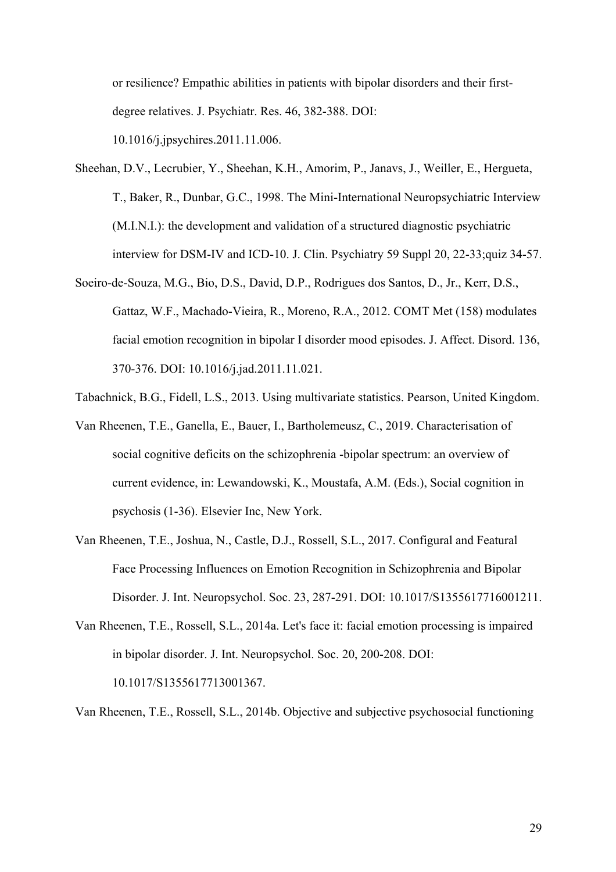or resilience? Empathic abilities in patients with bipolar disorders and their firstdegree relatives. J. Psychiatr. Res. 46, 382-388. DOI: 10.1016/j.jpsychires.2011.11.006.

- Sheehan, D.V., Lecrubier, Y., Sheehan, K.H., Amorim, P., Janavs, J., Weiller, E., Hergueta, T., Baker, R., Dunbar, G.C., 1998. The Mini-International Neuropsychiatric Interview (M.I.N.I.): the development and validation of a structured diagnostic psychiatric interview for DSM-IV and ICD-10. J. Clin. Psychiatry 59 Suppl 20, 22-33;quiz 34-57.
- Soeiro-de-Souza, M.G., Bio, D.S., David, D.P., Rodrigues dos Santos, D., Jr., Kerr, D.S., Gattaz, W.F., Machado-Vieira, R., Moreno, R.A., 2012. COMT Met (158) modulates facial emotion recognition in bipolar I disorder mood episodes. J. Affect. Disord. 136, 370-376. DOI: 10.1016/j.jad.2011.11.021.
- Tabachnick, B.G., Fidell, L.S., 2013. Using multivariate statistics. Pearson, United Kingdom.
- Van Rheenen, T.E., Ganella, E., Bauer, I., Bartholemeusz, C., 2019. Characterisation of social cognitive deficits on the schizophrenia -bipolar spectrum: an overview of current evidence, in: Lewandowski, K., Moustafa, A.M. (Eds.), Social cognition in psychosis (1-36). Elsevier Inc, New York.
- Van Rheenen, T.E., Joshua, N., Castle, D.J., Rossell, S.L., 2017. Configural and Featural Face Processing Influences on Emotion Recognition in Schizophrenia and Bipolar Disorder. J. Int. Neuropsychol. Soc. 23, 287-291. DOI: 10.1017/S1355617716001211.
- Van Rheenen, T.E., Rossell, S.L., 2014a. Let's face it: facial emotion processing is impaired in bipolar disorder. J. Int. Neuropsychol. Soc. 20, 200-208. DOI: 10.1017/S1355617713001367.

Van Rheenen, T.E., Rossell, S.L., 2014b. Objective and subjective psychosocial functioning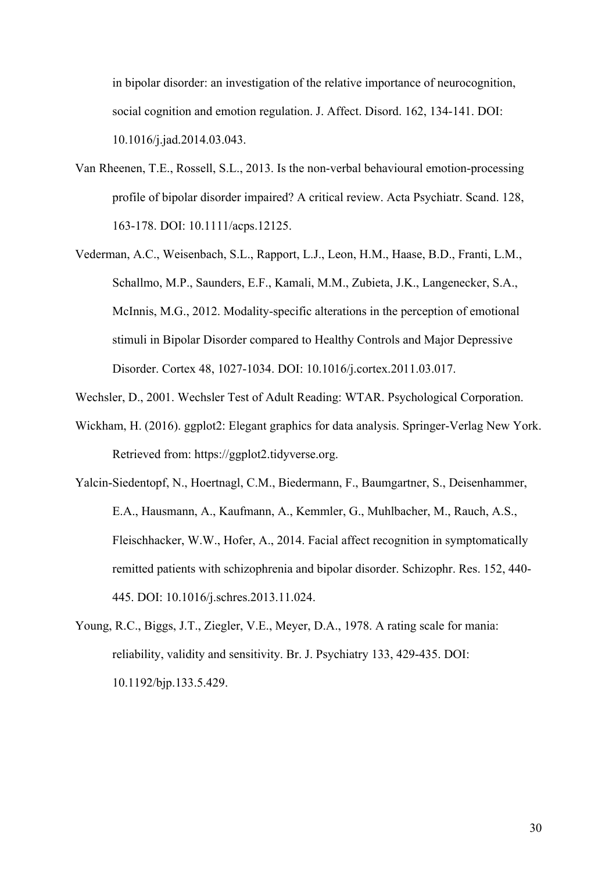in bipolar disorder: an investigation of the relative importance of neurocognition, social cognition and emotion regulation. J. Affect. Disord. 162, 134-141. DOI: 10.1016/j.jad.2014.03.043.

- Van Rheenen, T.E., Rossell, S.L., 2013. Is the non-verbal behavioural emotion-processing profile of bipolar disorder impaired? A critical review. Acta Psychiatr. Scand. 128, 163-178. DOI: 10.1111/acps.12125.
- Vederman, A.C., Weisenbach, S.L., Rapport, L.J., Leon, H.M., Haase, B.D., Franti, L.M., Schallmo, M.P., Saunders, E.F., Kamali, M.M., Zubieta, J.K., Langenecker, S.A., McInnis, M.G., 2012. Modality-specific alterations in the perception of emotional stimuli in Bipolar Disorder compared to Healthy Controls and Major Depressive Disorder. Cortex 48, 1027-1034. DOI: 10.1016/j.cortex.2011.03.017.
- Wechsler, D., 2001. Wechsler Test of Adult Reading: WTAR. Psychological Corporation.
- Wickham, H. (2016). ggplot2: Elegant graphics for data analysis. Springer-Verlag New York. Retrieved from: https://ggplot2.tidyverse.org.
- Yalcin-Siedentopf, N., Hoertnagl, C.M., Biedermann, F., Baumgartner, S., Deisenhammer, E.A., Hausmann, A., Kaufmann, A., Kemmler, G., Muhlbacher, M., Rauch, A.S., Fleischhacker, W.W., Hofer, A., 2014. Facial affect recognition in symptomatically remitted patients with schizophrenia and bipolar disorder. Schizophr. Res. 152, 440- 445. DOI: 10.1016/j.schres.2013.11.024.
- Young, R.C., Biggs, J.T., Ziegler, V.E., Meyer, D.A., 1978. A rating scale for mania: reliability, validity and sensitivity. Br. J. Psychiatry 133, 429-435. DOI: 10.1192/bjp.133.5.429.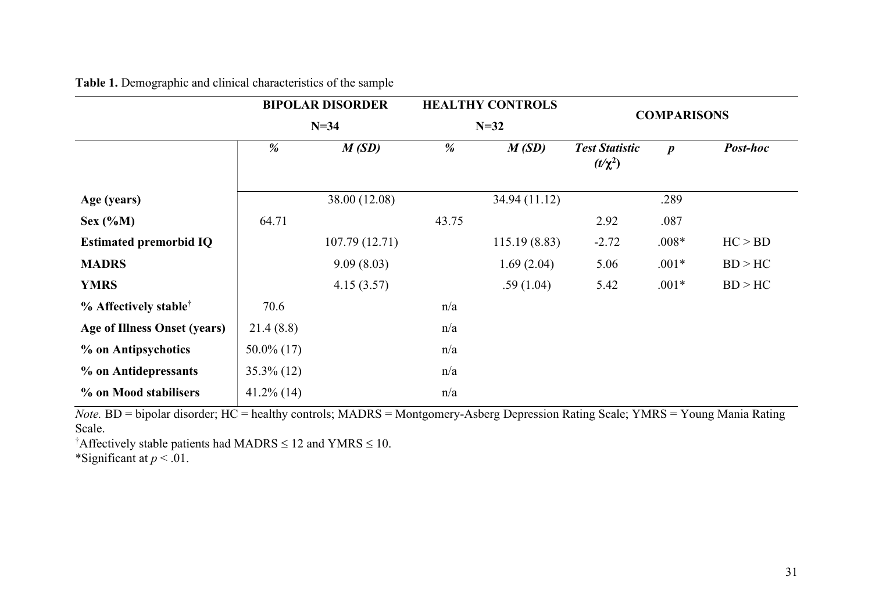|                                     |               | <b>BIPOLAR DISORDER</b> |       | <b>HEALTHY CONTROLS</b> | <b>COMPARISONS</b>                    |                  |          |  |
|-------------------------------------|---------------|-------------------------|-------|-------------------------|---------------------------------------|------------------|----------|--|
|                                     |               | $N=34$                  |       | $N=32$                  |                                       |                  |          |  |
|                                     | %             | M(SD)                   | %     | M(SD)                   | <b>Test Statistic</b><br>$(t/\chi^2)$ | $\boldsymbol{p}$ | Post-hoc |  |
| Age (years)                         |               | 38.00 (12.08)           |       | 34.94 (11.12)           |                                       | .289             |          |  |
| Sex $(\%M)$                         | 64.71         |                         | 43.75 |                         | 2.92                                  | .087             |          |  |
| <b>Estimated premorbid IQ</b>       |               | 107.79(12.71)           |       | 115.19(8.83)            | $-2.72$                               | $.008*$          | HC > BD  |  |
| <b>MADRS</b>                        |               | 9.09(8.03)              |       | 1.69(2.04)              | 5.06                                  | $.001*$          | BD > HC  |  |
| <b>YMRS</b>                         |               | 4.15(3.57)              |       | .59(1.04)               | 5.42                                  | $.001*$          | BD > HC  |  |
| $%$ Affectively stable <sup>†</sup> | 70.6          |                         | n/a   |                         |                                       |                  |          |  |
| <b>Age of Illness Onset (years)</b> | 21.4(8.8)     |                         | n/a   |                         |                                       |                  |          |  |
| % on Antipsychotics                 | $50.0\%$ (17) |                         | n/a   |                         |                                       |                  |          |  |
| % on Antidepressants                | $35.3\%$ (12) |                         | n/a   |                         |                                       |                  |          |  |
| % on Mood stabilisers               | $41.2\%$ (14) |                         | n/a   |                         |                                       |                  |          |  |

**Table 1.** Demographic and clinical characteristics of the sample

*Note.* BD = bipolar disorder; HC = healthy controls; MADRS = Montgomery-Asberg Depression Rating Scale; YMRS = Young Mania Rating Scale.

<sup>†</sup>Affectively stable patients had MADRS  $\leq 12$  and YMRS  $\leq 10$ .

\*Significant at  $p < 0.01$ .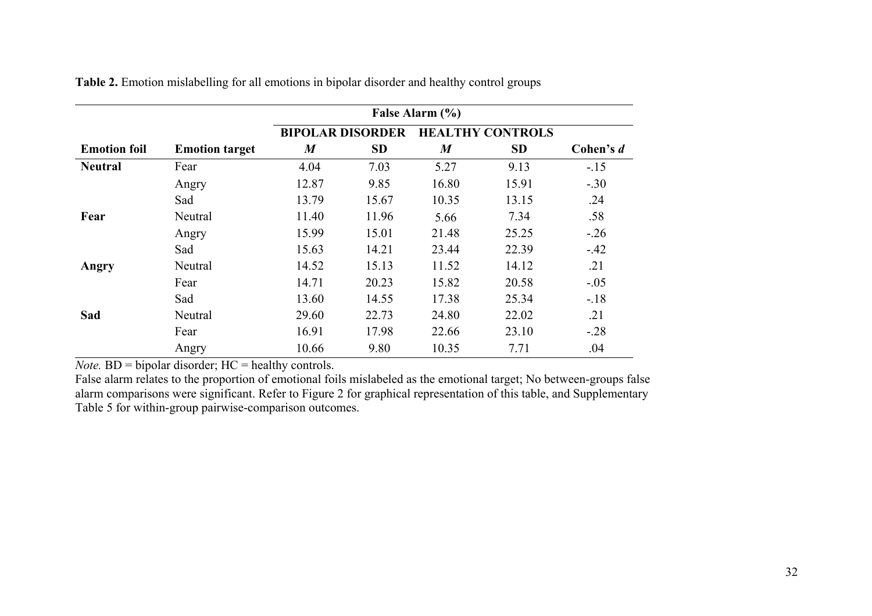|                     |                       |                         | False Alarm (%) |                  |                         |           |  |  |
|---------------------|-----------------------|-------------------------|-----------------|------------------|-------------------------|-----------|--|--|
|                     |                       | <b>BIPOLAR DISORDER</b> |                 |                  | <b>HEALTHY CONTROLS</b> |           |  |  |
| <b>Emotion foil</b> | <b>Emotion target</b> | $\boldsymbol{M}$        | <b>SD</b>       | $\boldsymbol{M}$ | <b>SD</b>               | Cohen's d |  |  |
| <b>Neutral</b>      | Fear                  | 4.04                    | 7.03            | 5.27             | 9.13                    | $-.15$    |  |  |
|                     | Angry                 | 12.87                   | 9.85            | 16.80            | 15.91                   | $-.30$    |  |  |
|                     | Sad                   | 13.79                   | 15.67           | 10.35            | 13.15                   | .24       |  |  |
| Fear                | Neutral               | 11.40                   | 11.96           | 5.66             | 7.34                    | .58       |  |  |
|                     | Angry                 | 15.99                   | 15.01           | 21.48            | 25.25                   | $-.26$    |  |  |
|                     | Sad                   | 15.63                   | 14.21           | 23.44            | 22.39                   | $-.42$    |  |  |
| Angry               | Neutral               | 14.52                   | 15.13           | 11.52            | 14.12                   | .21       |  |  |
|                     | Fear                  | 14.71                   | 20.23           | 15.82            | 20.58                   | $-.05$    |  |  |
|                     | Sad                   | 13.60                   | 14.55           | 17.38            | 25.34                   | $-.18$    |  |  |
| Sad                 | Neutral               | 29.60                   | 22.73           | 24.80            | 22.02                   | .21       |  |  |
|                     | Fear                  | 16.91                   | 17.98           | 22.66            | 23.10                   | $-.28$    |  |  |
|                     | Angry                 | 10.66                   | 9.80            | 10.35            | 7.71                    | .04       |  |  |

**Table 2.** Emotion mislabelling for all emotions in bipolar disorder and healthy control groups

 $$ 

False alarm relates to the proportion of emotional foils mislabeled as the emotional target; No between-groups false alarm comparisons were significant. Refer to Figure 2 for graphical representation of this table, and Supplementary Table 5 for within-group pairwise-comparison outcomes.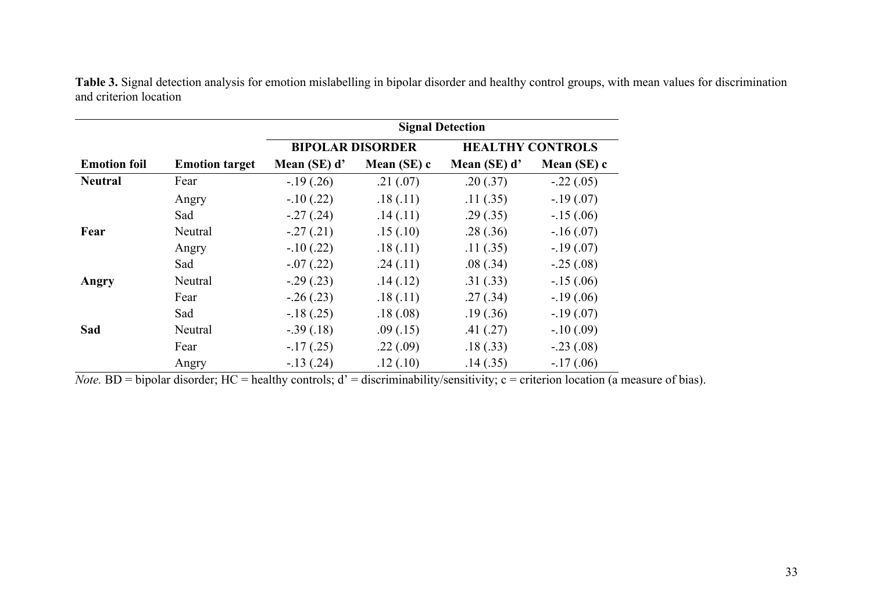|                     |                       | <b>Signal Detection</b> |             |                         |             |  |  |  |
|---------------------|-----------------------|-------------------------|-------------|-------------------------|-------------|--|--|--|
|                     |                       | <b>BIPOLAR DISORDER</b> |             | <b>HEALTHY CONTROLS</b> |             |  |  |  |
| <b>Emotion foil</b> | <b>Emotion target</b> | Mean (SE) d'            | Mean (SE) c | Mean (SE) d'            | Mean (SE) c |  |  |  |
| <b>Neutral</b>      | Fear                  | $-19(0.26)$             | .21(.07)    | .20(.37)                | $-.22(.05)$ |  |  |  |
|                     | Angry                 | $-.10(.22)$             | .18(.11)    | .11(.35)                | $-.19(.07)$ |  |  |  |
|                     | Sad                   | $-.27(.24)$             | .14(.11)    | .29(.35)                | $-15(0.06)$ |  |  |  |
| Fear                | Neutral               | $-.27(.21)$             | .15(.10)    | .28(.36)                | $-.16(.07)$ |  |  |  |
|                     | Angry                 | $-.10(.22)$             | .18(.11)    | .11(.35)                | $-.19(.07)$ |  |  |  |
|                     | Sad                   | $-.07(.22)$             | .24(.11)    | .08(.34)                | $-.25(.08)$ |  |  |  |
| Angry               | Neutral               | $-.29(.23)$             | .14(.12)    | .31(.33)                | $-15(0.06)$ |  |  |  |
|                     | Fear                  | $-.26(.23)$             | .18(.11)    | .27(.34)                | $-.19(.06)$ |  |  |  |
|                     | Sad                   | $-.18(.25)$             | .18(.08)    | .19(.36)                | $-.19(.07)$ |  |  |  |
| Sad                 | Neutral               | $-.39(.18)$             | .09(0.15)   | .41(.27)                | $-.10(.09)$ |  |  |  |
|                     | Fear                  | $-17(0.25)$             | .22(.09)    | .18(.33)                | $-.23(.08)$ |  |  |  |
|                     | Angry                 | $-13(0.24)$             | .12(.10)    | .14(.35)                | $-17(0.06)$ |  |  |  |

**Table 3.** Signal detection analysis for emotion mislabelling in bipolar disorder and healthy control groups, with mean values for discrimination and criterion location

*Note.* BD = bipolar disorder; HC = healthy controls;  $d'$  = discriminability/sensitivity;  $c$  = criterion location (a measure of bias).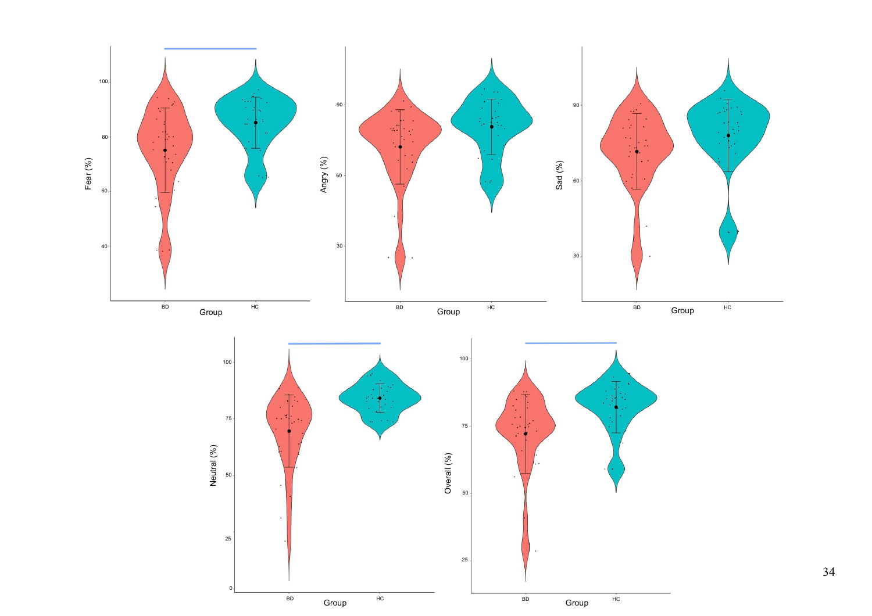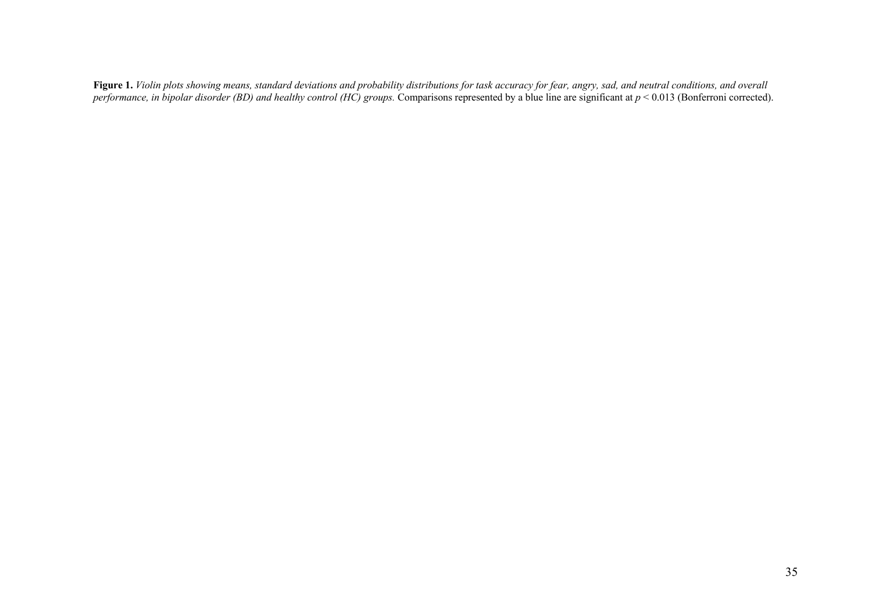**Figure 1.** *Violin plots showing means, standard deviations and probability distributions for task accuracy for fear, angry, sad, and neutral conditions, and overall performance, in bipolar disorder (BD) and healthy control (HC) groups.* Comparisons represented by a blue line are significant at  $p < 0.013$  (Bonferroni corrected).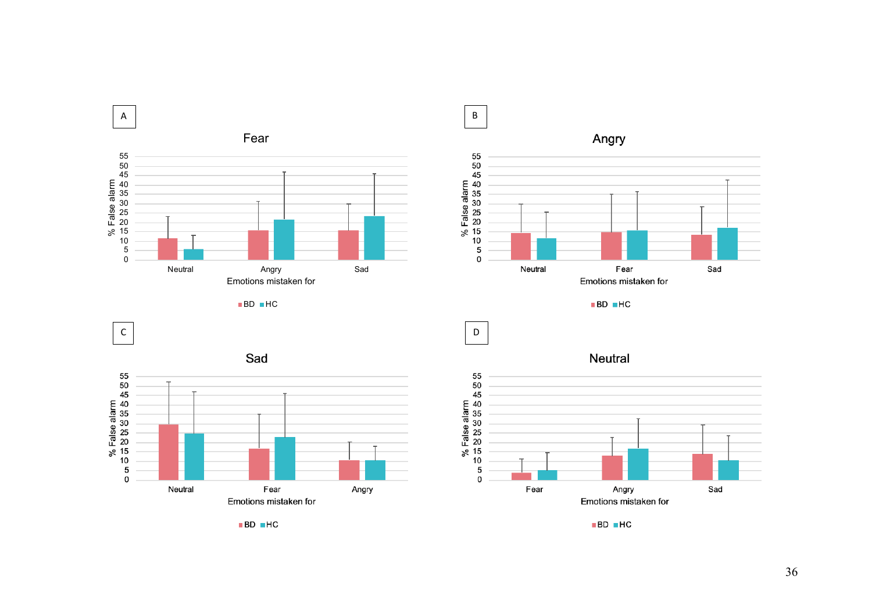



 $\blacksquare$ BD  $\blacksquare$ HC

Neutral



 $\blacksquare$ BD  $\blacksquare$ HC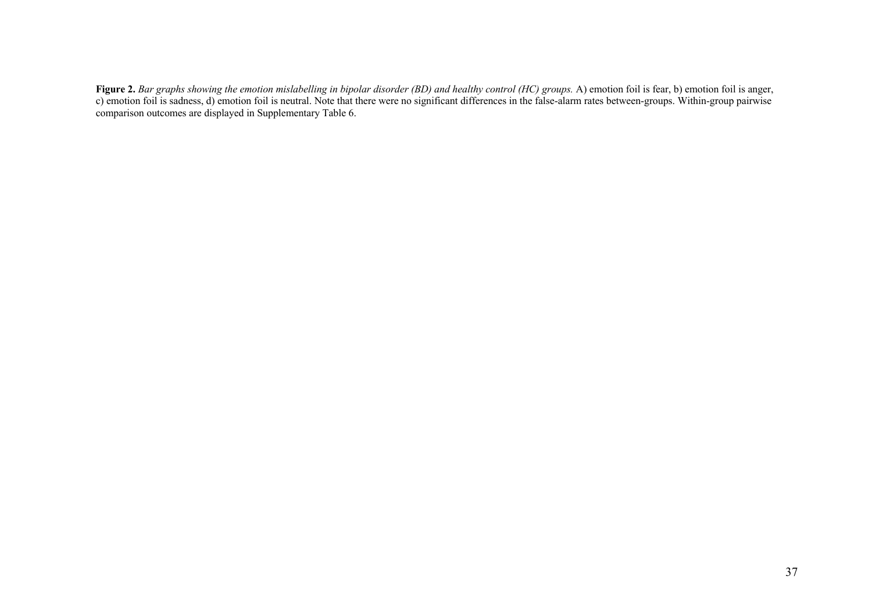**Figure 2.** *Bar graphs showing the emotion mislabelling in bipolar disorder (BD) and healthy control (HC) groups.* A) emotion foil is fear, b) emotion foil is anger, c) emotion foil is sadness, d) emotion foil is neutral. Note that there were no significant differences in the false-alarm rates between-groups. Within-group pairwise comparison outcomes are displayed in Supplementary Table 6.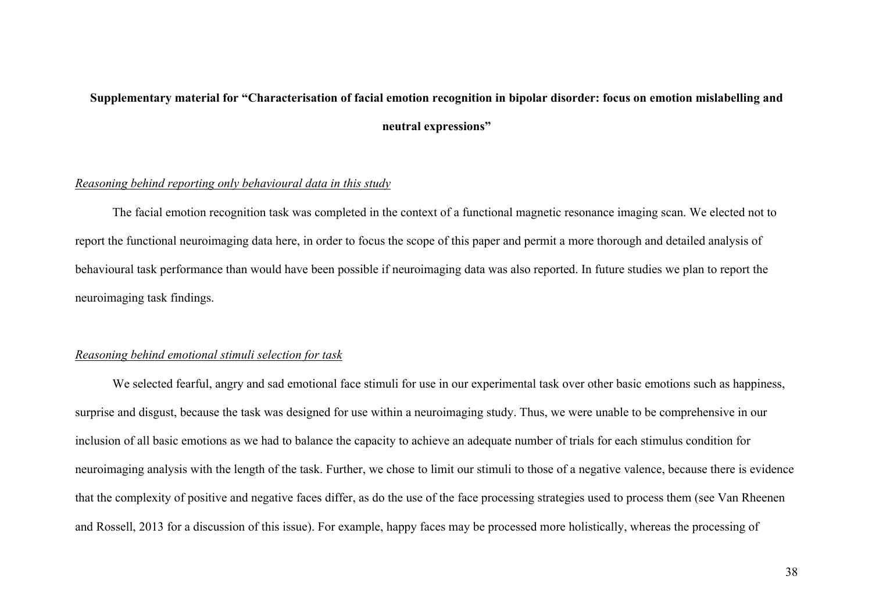# **Supplementary material for "Characterisation of facial emotion recognition in bipolar disorder: focus on emotion mislabelling and neutral expressions"**

## *Reasoning behind reporting only behavioural data in this study*

The facial emotion recognition task was completed in the context of a functional magnetic resonance imaging scan. We elected not to report the functional neuroimaging data here, in order to focus the scope of this paper and permit a more thorough and detailed analysis of behavioural task performance than would have been possible if neuroimaging data was also reported. In future studies we plan to report the neuroimaging task findings.

## *Reasoning behind emotional stimuli selection for task*

We selected fearful, angry and sad emotional face stimuli for use in our experimental task over other basic emotions such as happiness, surprise and disgust, because the task was designed for use within a neuroimaging study. Thus, we were unable to be comprehensive in our inclusion of all basic emotions as we had to balance the capacity to achieve an adequate number of trials for each stimulus condition for neuroimaging analysis with the length of the task. Further, we chose to limit our stimuli to those of a negative valence, because there is evidence that the complexity of positive and negative faces differ, as do the use of the face processing strategies used to process them (see Van Rheenen and Rossell, 2013 for a discussion of this issue). For example, happy faces may be processed more holistically, whereas the processing of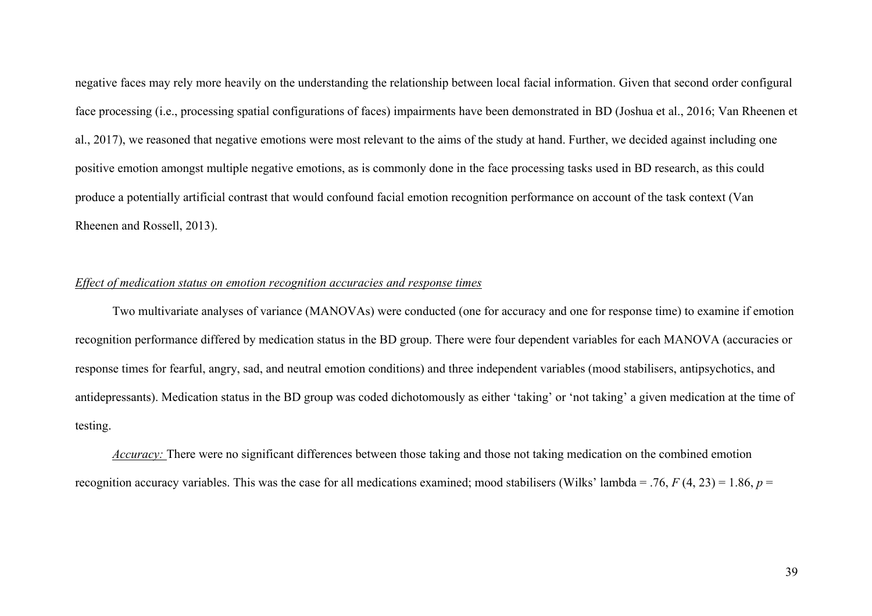negative faces may rely more heavily on the understanding the relationship between local facial information. Given that second order configural face processing (i.e., processing spatial configurations of faces) impairments have been demonstrated in BD (Joshua et al., 2016; Van Rheenen et al., 2017), we reasoned that negative emotions were most relevant to the aims of the study at hand. Further, we decided against including one positive emotion amongst multiple negative emotions, as is commonly done in the face processing tasks used in BD research, as this could produce a potentially artificial contrast that would confound facial emotion recognition performance on account of the task context (Van Rheenen and Rossell, 2013).

## *Effect of medication status on emotion recognition accuracies and response times*

Two multivariate analyses of variance (MANOVAs) were conducted (one for accuracy and one for response time) to examine if emotion recognition performance differed by medication status in the BD group. There were four dependent variables for each MANOVA (accuracies or response times for fearful, angry, sad, and neutral emotion conditions) and three independent variables (mood stabilisers, antipsychotics, and antidepressants). Medication status in the BD group was coded dichotomously as either 'taking' or 'not taking' a given medication at the time of testing.

*Accuracy:* There were no significant differences between those taking and those not taking medication on the combined emotion recognition accuracy variables. This was the case for all medications examined; mood stabilisers (Wilks' lambda = .76, *F* (4, 23) = 1.86, *p* =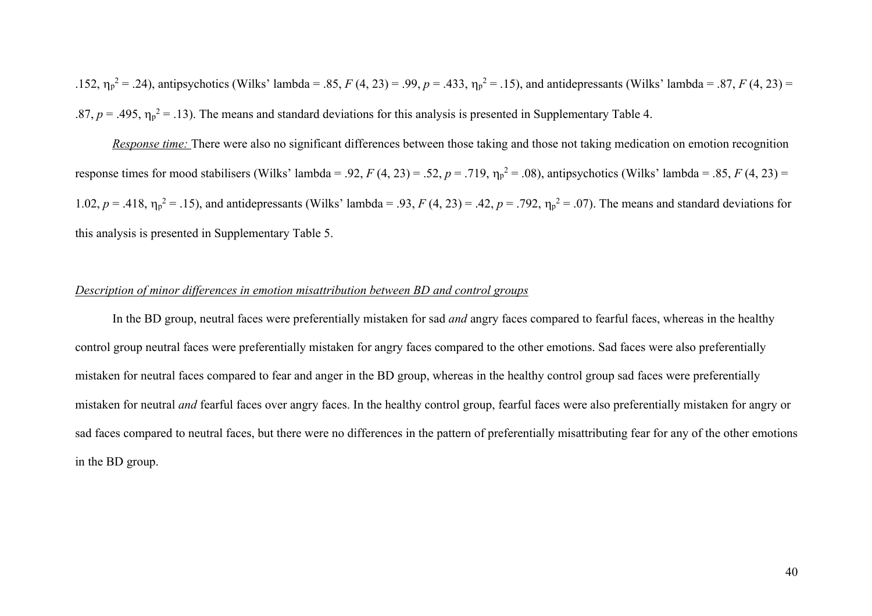.152,  $\eta_p^2 = .24$ ), antipsychotics (Wilks' lambda = .85, *F* (4, 23) = .99, *p* = .433,  $\eta_p^2 = .15$ ), and antidepressants (Wilks' lambda = .87, *F* (4, 23) = .87,  $p = .495$ ,  $\eta_p^2 = .13$ ). The means and standard deviations for this analysis is presented in Supplementary Table 4.

*Response time:* There were also no significant differences between those taking and those not taking medication on emotion recognition response times for mood stabilisers (Wilks' lambda = .92,  $F(4, 23) = .52$ ,  $p = .719$ ,  $\eta_p^2 = .08$ ), antipsychotics (Wilks' lambda = .85,  $F(4, 23) =$ 1.02,  $p = .418$ ,  $\eta_p^2 = .15$ ), and antidepressants (Wilks' lambda = .93,  $F(4, 23) = .42$ ,  $p = .792$ ,  $\eta_p^2 = .07$ ). The means and standard deviations for this analysis is presented in Supplementary Table 5.

#### *Description of minor differences in emotion misattribution between BD and control groups*

In the BD group, neutral faces were preferentially mistaken for sad *and* angry faces compared to fearful faces, whereas in the healthy control group neutral faces were preferentially mistaken for angry faces compared to the other emotions. Sad faces were also preferentially mistaken for neutral faces compared to fear and anger in the BD group, whereas in the healthy control group sad faces were preferentially mistaken for neutral *and* fearful faces over angry faces. In the healthy control group, fearful faces were also preferentially mistaken for angry or sad faces compared to neutral faces, but there were no differences in the pattern of preferentially misattributing fear for any of the other emotions in the BD group.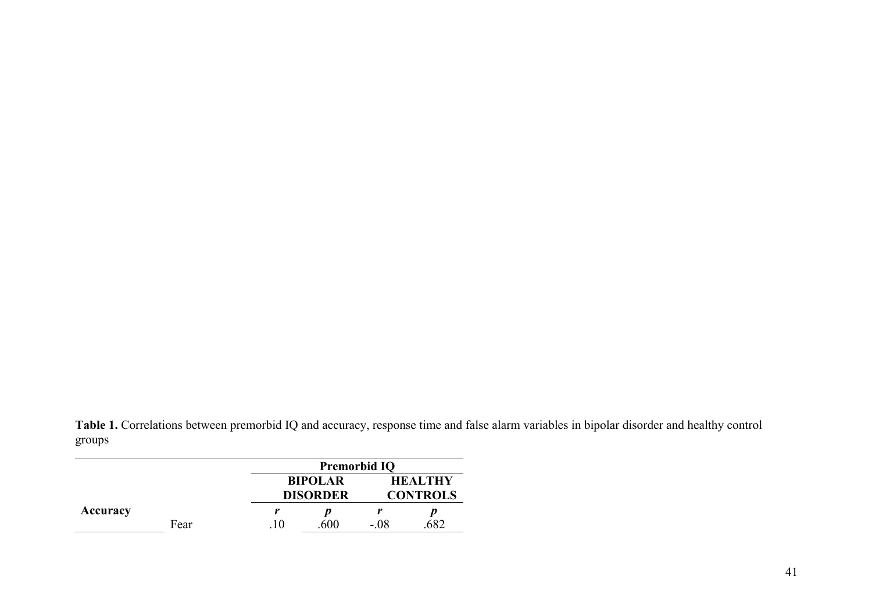**Table 1.** Correlations between premorbid IQ and accuracy, response time and false alarm variables in bipolar disorder and healthy control groups

|          |                                   |               | <b>Premorbid IQ</b>               |        |  |  |  |  |
|----------|-----------------------------------|---------------|-----------------------------------|--------|--|--|--|--|
|          | <b>BIPOLAR</b><br><b>DISORDER</b> |               | <b>HEALTHY</b><br><b>CONTROLS</b> |        |  |  |  |  |
| Accuracy |                                   |               |                                   |        |  |  |  |  |
|          | Fear                              | $\mathbf{10}$ | .600                              | $-.08$ |  |  |  |  |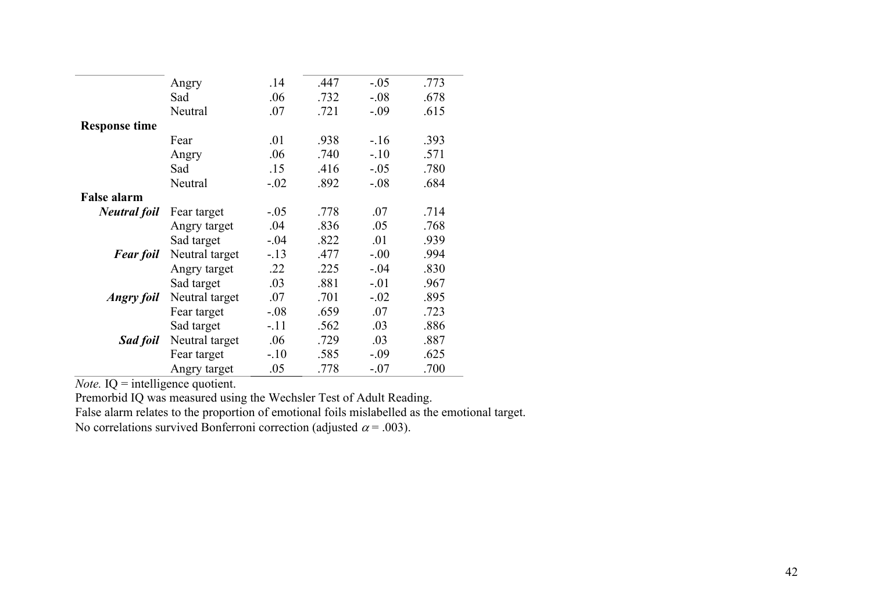|                      | Angry          | .14    | .447 | $-.05$  | .773 |
|----------------------|----------------|--------|------|---------|------|
|                      | Sad            | .06    | .732 | $-.08$  | .678 |
|                      | Neutral        | .07    | .721 | $-.09$  | .615 |
| <b>Response time</b> |                |        |      |         |      |
|                      | Fear           | .01    | .938 | $-.16$  | .393 |
|                      | Angry          | .06    | .740 | $-.10$  | .571 |
|                      | Sad            | .15    | .416 | $-.05$  | .780 |
|                      | Neutral        | $-.02$ | .892 | $-0.08$ | .684 |
| <b>False alarm</b>   |                |        |      |         |      |
| <b>Neutral foil</b>  | Fear target    | $-.05$ | .778 | .07     | .714 |
|                      | Angry target   | .04    | .836 | .05     | .768 |
|                      | Sad target     | $-.04$ | .822 | .01     | .939 |
| <b>Fear foil</b>     | Neutral target | $-.13$ | .477 | $-.00$  | .994 |
|                      | Angry target   | .22    | .225 | $-.04$  | .830 |
|                      | Sad target     | .03    | .881 | $-.01$  | .967 |
| <i>Angry foil</i>    | Neutral target | .07    | .701 | $-.02$  | .895 |
|                      | Fear target    | $-.08$ | .659 | .07     | .723 |
|                      | Sad target     | $-.11$ | .562 | .03     | .886 |
| Sad foil             | Neutral target | .06    | .729 | .03     | .887 |
|                      | Fear target    | $-.10$ | .585 | $-.09$  | .625 |
|                      | Angry target   | .05    | .778 | $-.07$  | .700 |

*Note.* **IQ** = intelligence quotient.

Premorbid IQ was measured using the Wechsler Test of Adult Reading.

False alarm relates to the proportion of emotional foils mislabelled as the emotional target.

No correlations survived Bonferroni correction (adjusted  $\alpha$  = .003).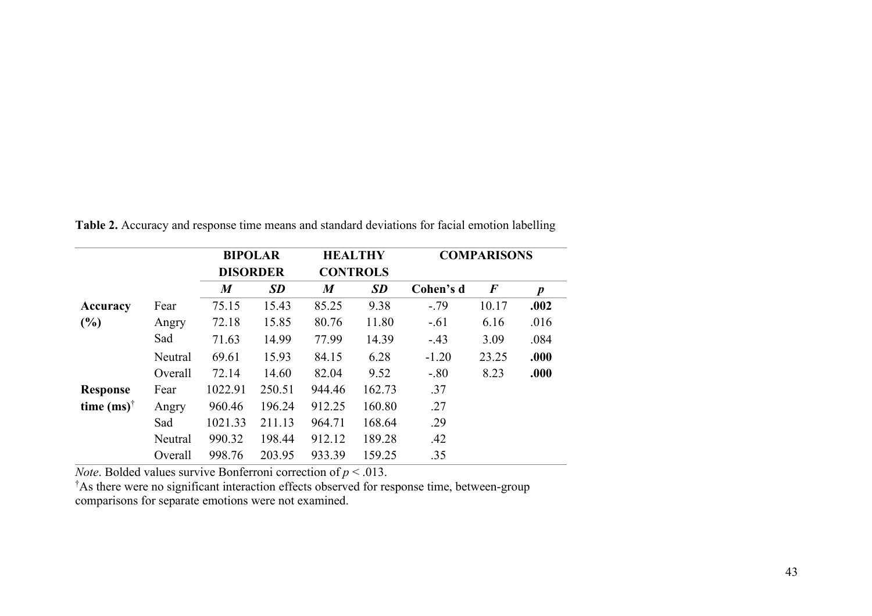|                     |         | <b>BIPOLAR</b><br><b>DISORDER</b> |           | <b>HEALTHY</b><br><b>CONTROLS</b> |           | <b>COMPARISONS</b> |          |                  |
|---------------------|---------|-----------------------------------|-----------|-----------------------------------|-----------|--------------------|----------|------------------|
|                     |         | $\boldsymbol{M}$                  | <b>SD</b> | $\boldsymbol{M}$                  | <b>SD</b> | Cohen's d          | $\bm{F}$ | $\boldsymbol{p}$ |
| Accuracy            | Fear    | 75.15                             | 15.43     | 85.25                             | 9.38      | $-.79$             | 10.17    | .002             |
| (%)                 | Angry   | 72.18                             | 15.85     | 80.76                             | 11.80     | $-.61$             | 6.16     | .016             |
|                     | Sad     | 71.63                             | 14.99     | 77.99                             | 14.39     | $-.43$             | 3.09     | .084             |
|                     | Neutral | 69.61                             | 15.93     | 84.15                             | 6.28      | $-1.20$            | 23.25    | .000             |
|                     | Overall | 72.14                             | 14.60     | 82.04                             | 9.52      | $-.80$             | 8.23     | .000             |
| <b>Response</b>     | Fear    | 1022.91                           | 250.51    | 944.46                            | 162.73    | .37                |          |                  |
| time $(ms)^\dagger$ | Angry   | 960.46                            | 196.24    | 912.25                            | 160.80    | .27                |          |                  |
|                     | Sad     | 1021.33                           | 211.13    | 964.71                            | 168.64    | .29                |          |                  |
|                     | Neutral | 990.32                            | 198.44    | 912.12                            | 189.28    | .42                |          |                  |
|                     | Overall | 998.76                            | 203.95    | 933.39                            | 159.25    | .35                |          |                  |

**Table 2.** Accuracy and response time means and standard deviations for facial emotion labelling

*Note*. Bolded values survive Bonferroni correction of *p* < .013.

† As there were no significant interaction effects observed for response time, between-group

comparisons for separate emotions were not examined.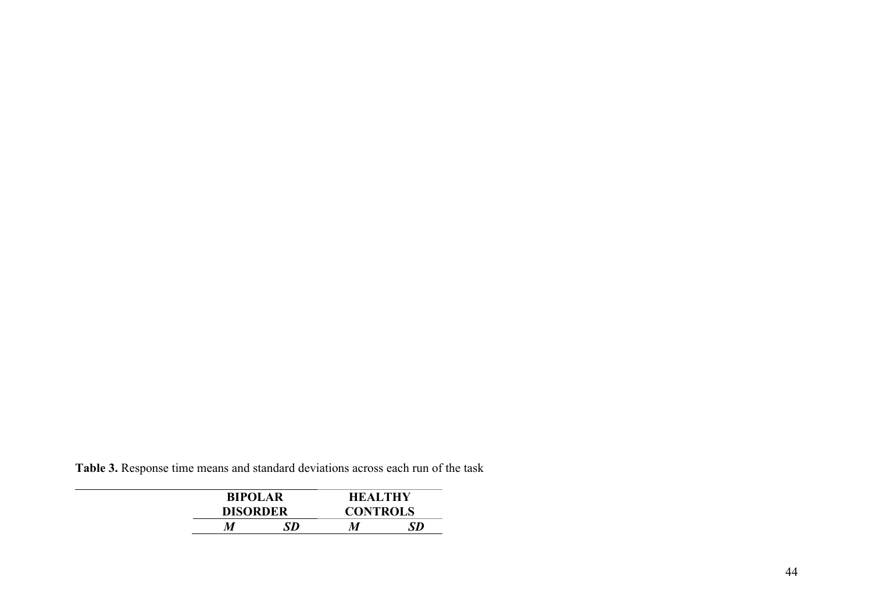**Table 3.** Response time means and standard deviations across each run of the task

| <b>BIPOLAR</b>  |  | <b>HEALTHY</b>  |    |
|-----------------|--|-----------------|----|
| <b>DISORDER</b> |  | <b>CONTROLS</b> |    |
| М<br>SD         |  | M               | SD |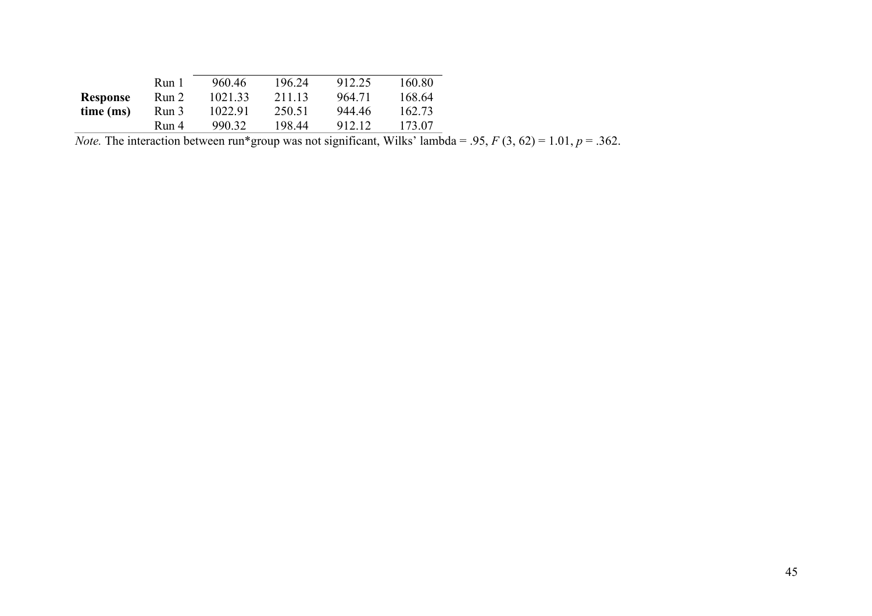|                 | Run 1 | 960.46  | 196.24 | 912.25 | 160.80 |
|-----------------|-------|---------|--------|--------|--------|
| <b>Response</b> | Run 2 | 1021.33 | 211.13 | 964.71 | 168.64 |
| time (ms)       | Run 3 | 1022.91 | 250.51 | 944.46 | 162.73 |
|                 | Run 4 | 990.32  | 198.44 | 912.12 | 173.07 |

*Note.* The interaction between run\*group was not significant, Wilks' lambda = .95,  $F(3, 62) = 1.01$ ,  $p = .362$ .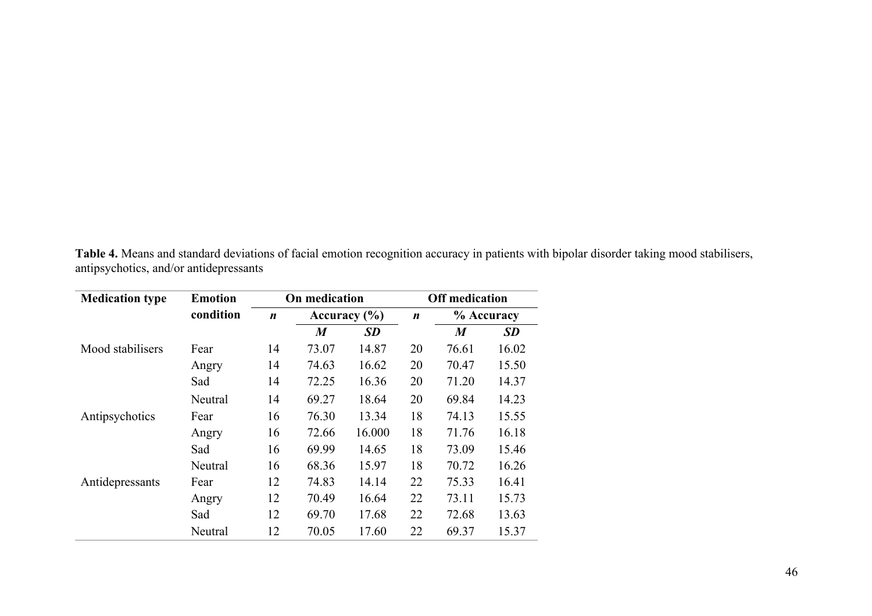**Table 4.** Means and standard deviations of facial emotion recognition accuracy in patients with bipolar disorder taking mood stabilisers, antipsychotics, and/or antidepressants

| <b>Medication type</b> | <b>Emotion</b> | On medication    |                  | <b>Off medication</b> |    |                  |           |
|------------------------|----------------|------------------|------------------|-----------------------|----|------------------|-----------|
|                        | condition      | $\boldsymbol{n}$ |                  | Accuracy $(\% )$      |    | % Accuracy       |           |
|                        |                |                  | $\boldsymbol{M}$ | <b>SD</b>             |    | $\boldsymbol{M}$ | <b>SD</b> |
| Mood stabilisers       | Fear           | 14               | 73.07            | 14.87                 | 20 | 76.61            | 16.02     |
|                        | Angry          | 14               | 74.63            | 16.62                 | 20 | 70.47            | 15.50     |
|                        | Sad            | 14               | 72.25            | 16.36                 | 20 | 71.20            | 14.37     |
|                        | Neutral        | 14               | 69.27            | 18.64                 | 20 | 69.84            | 14.23     |
| Antipsychotics         | Fear           | 16               | 76.30            | 13.34                 | 18 | 74.13            | 15.55     |
|                        | Angry          | 16               | 72.66            | 16.000                | 18 | 71.76            | 16.18     |
|                        | Sad            | 16               | 69.99            | 14.65                 | 18 | 73.09            | 15.46     |
|                        | Neutral        | 16               | 68.36            | 15.97                 | 18 | 70.72            | 16.26     |
| Antidepressants        | Fear           | 12               | 74.83            | 14.14                 | 22 | 75.33            | 16.41     |
|                        | Angry          | 12               | 70.49            | 16.64                 | 22 | 73.11            | 15.73     |
|                        | Sad            | 12               | 69.70            | 17.68                 | 22 | 72.68            | 13.63     |
|                        | Neutral        | 12               | 70.05            | 17.60                 | 22 | 69.37            | 15.37     |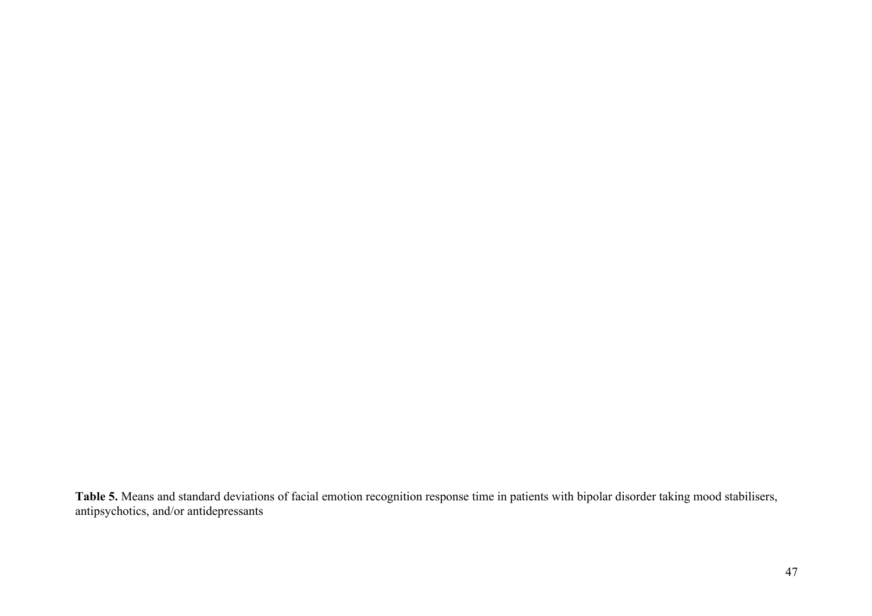**Table 5.** Means and standard deviations of facial emotion recognition response time in patients with bipolar disorder taking mood stabilisers, antipsychotics, and/or antidepressants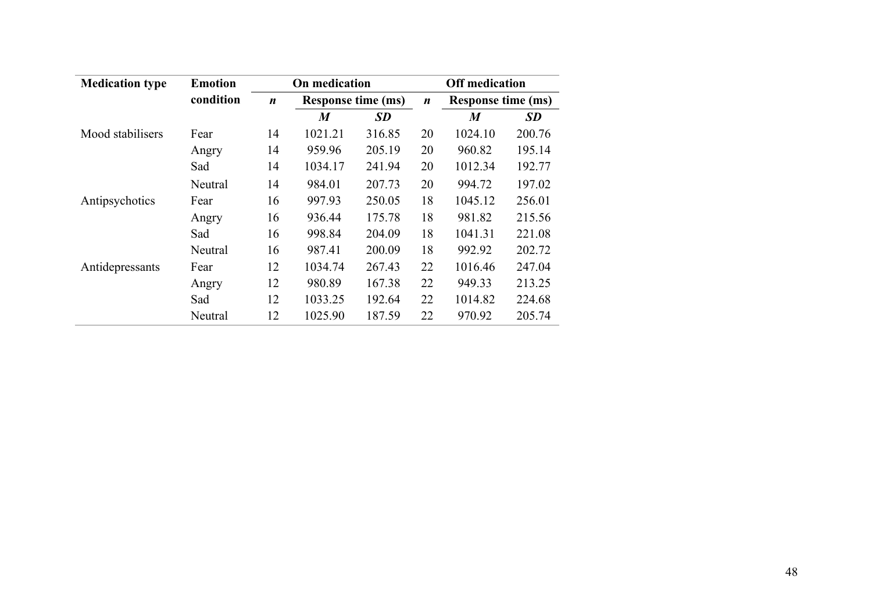| <b>Medication type</b> | <b>Emotion</b> | On medication    |                           |           |                  | <b>Off medication</b>     |           |
|------------------------|----------------|------------------|---------------------------|-----------|------------------|---------------------------|-----------|
|                        | condition      | $\boldsymbol{n}$ | <b>Response time (ms)</b> |           | $\boldsymbol{n}$ | <b>Response time (ms)</b> |           |
|                        |                |                  | $\bm{M}$                  | <b>SD</b> |                  | $\bm{M}$                  | <b>SD</b> |
| Mood stabilisers       | Fear           | 14               | 1021.21                   | 316.85    | 20               | 1024.10                   | 200.76    |
|                        | Angry          | 14               | 959.96                    | 205.19    | 20               | 960.82                    | 195.14    |
|                        | Sad            | 14               | 1034.17                   | 241.94    | 20               | 1012.34                   | 192.77    |
|                        | Neutral        | 14               | 984.01                    | 207.73    | 20               | 994.72                    | 197.02    |
| Antipsychotics         | Fear           | 16               | 997.93                    | 250.05    | 18               | 1045.12                   | 256.01    |
|                        | Angry          | 16               | 936.44                    | 175.78    | 18               | 981.82                    | 215.56    |
|                        | Sad            | 16               | 998.84                    | 204.09    | 18               | 1041.31                   | 221.08    |
|                        | Neutral        | 16               | 987.41                    | 200.09    | 18               | 992.92                    | 202.72    |
| Antidepressants        | Fear           | 12               | 1034.74                   | 267.43    | 22               | 1016.46                   | 247.04    |
|                        | Angry          | 12               | 980.89                    | 167.38    | 22               | 949.33                    | 213.25    |
|                        | Sad            | 12               | 1033.25                   | 192.64    | 22               | 1014.82                   | 224.68    |
|                        | Neutral        | 12               | 1025.90                   | 187.59    | 22               | 970.92                    | 205.74    |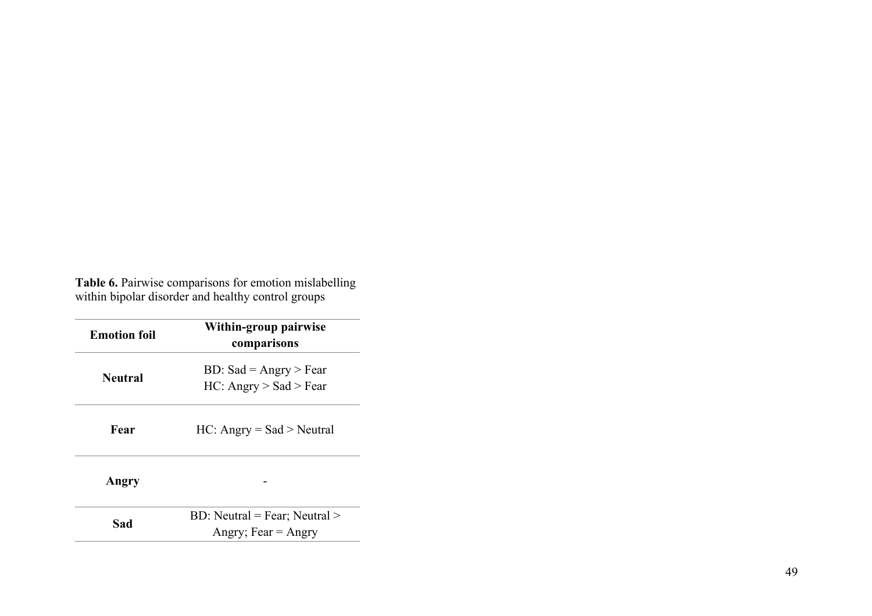**Table 6 .** Pairwise comparisons for emotion mislabelling within bipolar disorder and healthy control groups

| <b>Emotion foil</b> | Within-group pairwise<br>comparisons                                   |  |  |  |  |
|---------------------|------------------------------------------------------------------------|--|--|--|--|
| <b>Neutral</b>      | BD: Sad = $\text{Angry} > \text{Fear}$<br>$HC:$ Angry $>$ Sad $>$ Fear |  |  |  |  |
| Fear                | $HC:$ Angry = Sad > Neutral                                            |  |  |  |  |
| Angry               |                                                                        |  |  |  |  |
| Sad                 | BD: Neutral = Fear; Neutral ><br>Angry; Fear $=$ Angry                 |  |  |  |  |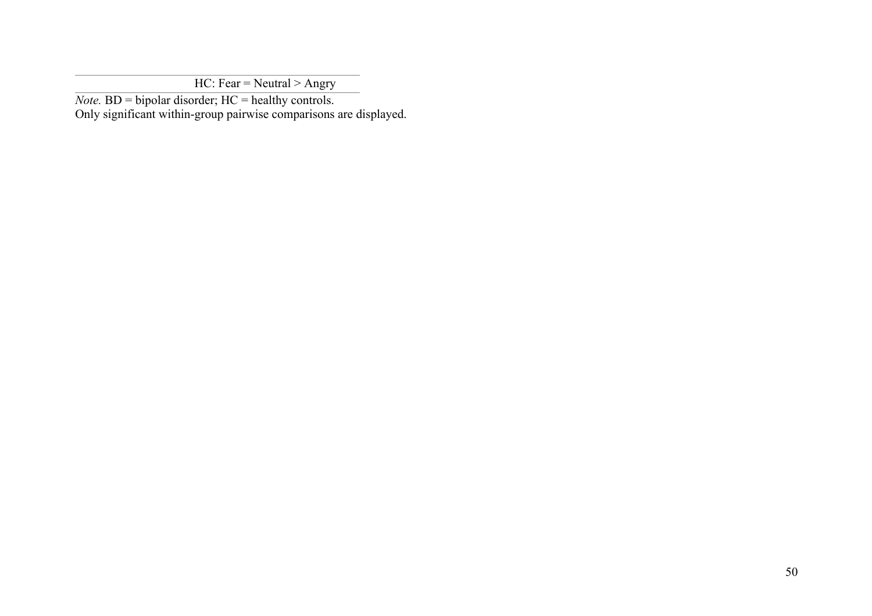$HC: Fear = Neutral > Angry$ 

*Note.*  $BD = bipolar disorder$ ;  $HC = healthy controls$ .

Only significant within-group pairwise comparisons are displayed.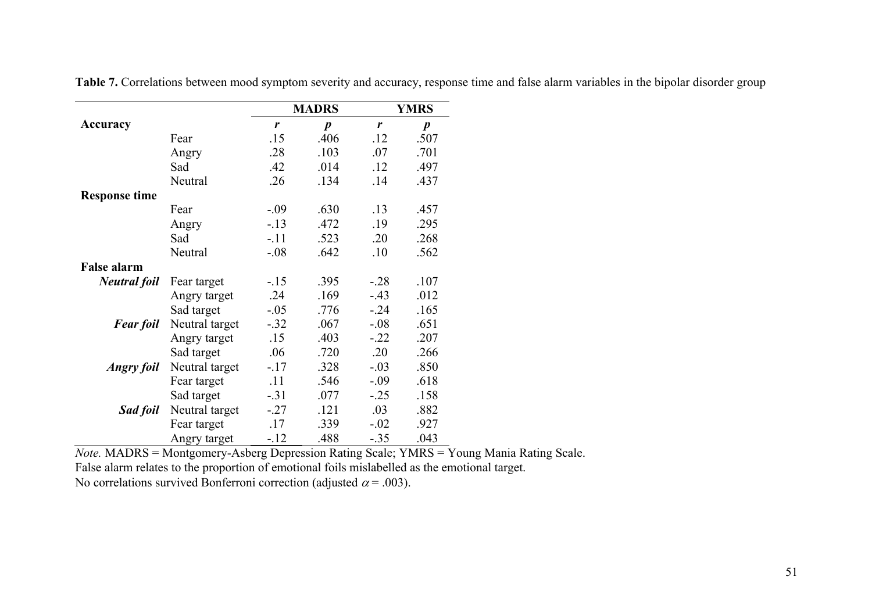|                      |                |        | <b>MADRS</b>     |        | <b>YMRS</b>      |
|----------------------|----------------|--------|------------------|--------|------------------|
| Accuracy             |                | r      | $\boldsymbol{p}$ | r      | $\boldsymbol{p}$ |
|                      | Fear           | .15    | .406             | .12    | .507             |
|                      | Angry          | .28    | .103             | .07    | .701             |
|                      | Sad            | .42    | .014             | .12    | .497             |
|                      | Neutral        | .26    | .134             | .14    | .437             |
| <b>Response time</b> |                |        |                  |        |                  |
|                      | Fear           | $-.09$ | .630             | .13    | .457             |
|                      | Angry          | $-.13$ | .472             | .19    | .295             |
|                      | Sad            | $-.11$ | .523             | .20    | .268             |
|                      | Neutral        | $-.08$ | .642             | .10    | .562             |
| <b>False alarm</b>   |                |        |                  |        |                  |
| <b>Neutral</b> foil  | Fear target    | $-.15$ | .395             | $-.28$ | .107             |
|                      | Angry target   | .24    | .169             | $-.43$ | .012             |
|                      | Sad target     | $-.05$ | .776             | $-.24$ | .165             |
| <b>Fear foil</b>     | Neutral target | $-.32$ | .067             | $-.08$ | .651             |
|                      | Angry target   | .15    | .403             | $-.22$ | .207             |
|                      | Sad target     | .06    | .720             | .20    | .266             |
| <b>Angry foil</b>    | Neutral target | $-.17$ | .328             | $-.03$ | .850             |
|                      | Fear target    | .11    | .546             | $-.09$ | .618             |
|                      | Sad target     | $-.31$ | .077             | $-.25$ | .158             |
| Sad foil             | Neutral target | $-.27$ | .121             | .03    | .882             |
|                      | Fear target    | .17    | .339             | $-.02$ | .927             |
|                      | Angry target   | $-.12$ | .488             | $-.35$ | .043             |

**Table 7.** Correlations between mood symptom severity and accuracy, response time and false alarm variables in the bipolar disorder group

*Note.* MADRS = Montgomery-Asberg Depression Rating Scale; YMRS = Young Mania Rating Scale.

False alarm relates to the proportion of emotional foils mislabelled as the emotional target.

No correlations survived Bonferroni correction (adjusted  $\alpha$  = .003).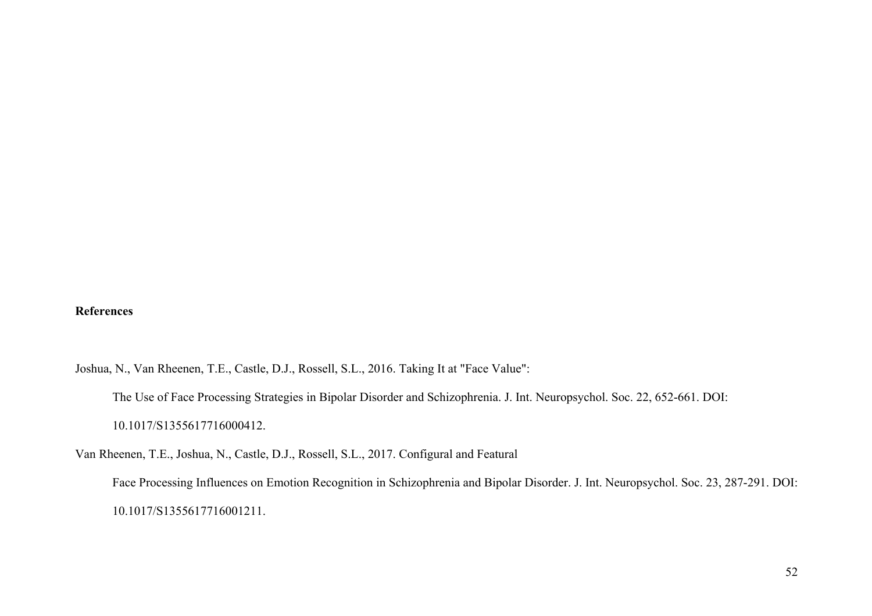# **References**

Joshua, N., Van Rheenen, T.E., Castle, D.J., Rossell, S.L., 2016. Taking It at "Face Value": The Use of Face Processing Strategies in Bipolar Disorder and Schizophrenia. J. Int. Neuropsychol. Soc. 22, 652-661. DOI: 10.1017/S1355617716000412.

Van Rheenen, T.E., Joshua, N., Castle, D.J., Rossell, S.L., 2017. Configural and Featural

Face Processing Influences on Emotion Recognition in Schizophrenia and Bipolar Disorder. J. Int. Neuropsychol. Soc. 23, 287-291. DOI: 10.1017/S1355617716001211.